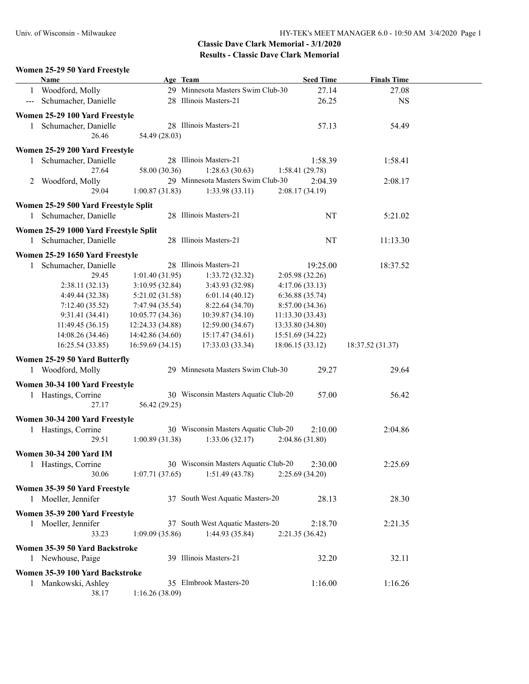### **Women 25-29 50 Yard Freestyle**

|               | <b>Name</b>                           | Age Team         |                                      | <b>Seed Time</b> | <b>Finals Time</b> |  |
|---------------|---------------------------------------|------------------|--------------------------------------|------------------|--------------------|--|
| 1             | Woodford, Molly                       |                  | 29 Minnesota Masters Swim Club-30    | 27.14            | 27.08              |  |
| $\sim$ $\sim$ | Schumacher, Danielle                  |                  | 28 Illinois Masters-21               | 26.25            | <b>NS</b>          |  |
|               | Women 25-29 100 Yard Freestyle        |                  |                                      |                  |                    |  |
|               | 1 Schumacher, Danielle                |                  | 28 Illinois Masters-21               | 57.13            | 54.49              |  |
|               | 26.46                                 | 54.49 (28.03)    |                                      |                  |                    |  |
|               |                                       |                  |                                      |                  |                    |  |
|               | Women 25-29 200 Yard Freestyle        |                  |                                      |                  |                    |  |
|               | Schumacher, Danielle                  |                  | 28 Illinois Masters-21               | 1:58.39          | 1:58.41            |  |
|               | 27.64                                 | 58.00 (30.36)    | 1:28.63(30.63)                       | 1:58.41(29.78)   |                    |  |
|               | 2 Woodford, Molly                     |                  | 29 Minnesota Masters Swim Club-30    | 2:04.39          | 2:08.17            |  |
|               | 29.04                                 | 1:00.87(31.83)   | 1:33.98(33.11)                       | 2:08.17(34.19)   |                    |  |
|               | Women 25-29 500 Yard Freestyle Split  |                  |                                      |                  |                    |  |
|               | 1 Schumacher, Danielle                |                  | 28 Illinois Masters-21               | NT               | 5:21.02            |  |
|               |                                       |                  |                                      |                  |                    |  |
|               | Women 25-29 1000 Yard Freestyle Split |                  |                                      |                  |                    |  |
|               | 1 Schumacher, Danielle                |                  | 28 Illinois Masters-21               | NT               | 11:13.30           |  |
|               | Women 25-29 1650 Yard Freestyle       |                  |                                      |                  |                    |  |
| 1             | Schumacher, Danielle                  |                  | 28 Illinois Masters-21               | 19:25.00         | 18:37.52           |  |
|               | 29.45                                 | 1:01.40(31.95)   | 1:33.72(32.32)                       | 2:05.98 (32.26)  |                    |  |
|               | 2:38.11(32.13)                        | 3:10.95(32.84)   | 3:43.93 (32.98)                      | 4:17.06(33.13)   |                    |  |
|               | 4:49.44 (32.38)                       | 5:21.02(31.58)   | 6:01.14(40.12)                       | 6:36.88(35.74)   |                    |  |
|               | 7:12.40(35.52)                        | 7:47.94 (35.54)  | 8:22.64(34.70)                       | 8:57.00(34.36)   |                    |  |
|               | 9:31.41(34.41)                        | 10:05.77(34.36)  | 10:39.87(34.10)                      | 11:13.30(33.43)  |                    |  |
|               | 11:49.45 (36.15)                      | 12:24.33 (34.88) | 12:59.00(34.67)                      | 13:33.80 (34.80) |                    |  |
|               | 14:08.26 (34.46)                      | 14:42.86 (34.60) | 15:17.47(34.61)                      | 15:51.69 (34.22) |                    |  |
|               | 16:25.54(33.85)                       | 16:59.69(34.15)  | 17:33.03 (33.34)                     | 18:06.15 (33.12) | 18:37.52 (31.37)   |  |
|               | Women 25-29 50 Yard Butterfly         |                  |                                      |                  |                    |  |
|               | 1 Woodford, Molly                     |                  | 29 Minnesota Masters Swim Club-30    | 29.27            | 29.64              |  |
|               |                                       |                  |                                      |                  |                    |  |
|               | Women 30-34 100 Yard Freestyle        |                  | 30 Wisconsin Masters Aquatic Club-20 |                  |                    |  |
|               | 1 Hastings, Corrine                   |                  |                                      | 57.00            | 56.42              |  |
|               | 27.17                                 | 56.42 (29.25)    |                                      |                  |                    |  |
|               | Women 30-34 200 Yard Freestyle        |                  |                                      |                  |                    |  |
|               | 1 Hastings, Corrine                   |                  | 30 Wisconsin Masters Aquatic Club-20 | 2:10.00          | 2:04.86            |  |
|               | 29.51                                 | 1:00.89(31.38)   | 1:33.06(32.17)                       | 2:04.86(31.80)   |                    |  |
|               | <b>Women 30-34 200 Yard IM</b>        |                  |                                      |                  |                    |  |
|               | 1 Hastings, Corrine                   |                  | 30 Wisconsin Masters Aquatic Club-20 | 2:30.00          | 2:25.69            |  |
|               | 30.06                                 | 1:07.71(37.65)   | 1:51.49(43.78)                       | 2:25.69(34.20)   |                    |  |
|               |                                       |                  |                                      |                  |                    |  |
|               | Women 35-39 50 Yard Freestyle         |                  |                                      |                  |                    |  |
|               | 1 Moeller, Jennifer                   |                  | 37 South West Aquatic Masters-20     | 28.13            | 28.30              |  |
|               | Women 35-39 200 Yard Freestyle        |                  |                                      |                  |                    |  |
|               | 1 Moeller, Jennifer                   |                  | 37 South West Aquatic Masters-20     | 2:18.70          | 2:21.35            |  |
|               | 33.23                                 | 1:09.09(35.86)   | 1:44.93(35.84)                       | 2:21.35(36.42)   |                    |  |
|               | Women 35-39 50 Yard Backstroke        |                  |                                      |                  |                    |  |
|               | 1 Newhouse, Paige                     |                  | 39 Illinois Masters-21               | 32.20            | 32.11              |  |
|               |                                       |                  |                                      |                  |                    |  |
|               | Women 35-39 100 Yard Backstroke       |                  |                                      |                  |                    |  |
|               | 1 Mankowski, Ashley                   |                  | 35 Elmbrook Masters-20               | 1:16.00          | 1:16.26            |  |
|               | 38.17                                 | 1:16.26(38.09)   |                                      |                  |                    |  |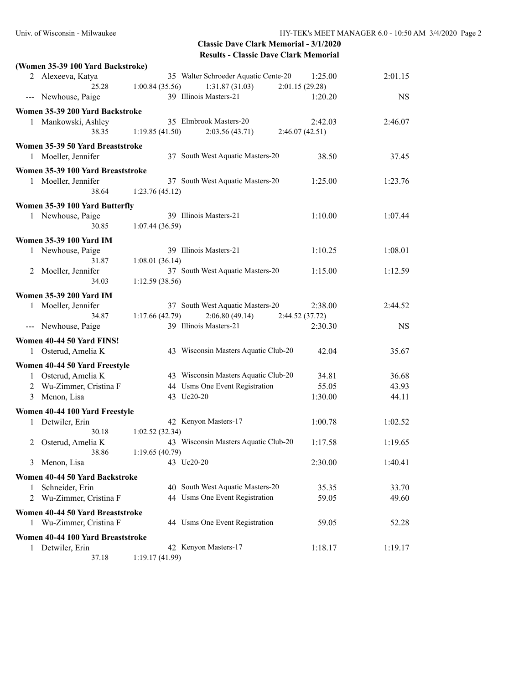|   | (Women 35-39 100 Yard Backstroke) |                |                                      |                 |           |
|---|-----------------------------------|----------------|--------------------------------------|-----------------|-----------|
|   | 2 Alexeeva, Katya                 |                | 35 Walter Schroeder Aquatic Cente-20 | 1:25.00         | 2:01.15   |
|   | 25.28                             | 1:00.84(35.56) | 1:31.87(31.03)                       | 2:01.15(29.28)  |           |
|   | --- Newhouse, Paige               |                | 39 Illinois Masters-21               | 1:20.20         | <b>NS</b> |
|   | Women 35-39 200 Yard Backstroke   |                |                                      |                 |           |
|   | 1 Mankowski, Ashley               |                | 35 Elmbrook Masters-20               | 2:42.03         | 2:46.07   |
|   | 38.35                             | 1:19.85(41.50) | 2:03.56(43.71)                       | 2:46.07(42.51)  |           |
|   | Women 35-39 50 Yard Breaststroke  |                |                                      |                 |           |
|   | 1 Moeller, Jennifer               |                | 37 South West Aquatic Masters-20     | 38.50           | 37.45     |
|   | Women 35-39 100 Yard Breaststroke |                |                                      |                 |           |
|   | 1 Moeller, Jennifer               |                | 37 South West Aquatic Masters-20     | 1:25.00         | 1:23.76   |
|   | 38.64                             | 1:23.76(45.12) |                                      |                 |           |
|   | Women 35-39 100 Yard Butterfly    |                |                                      |                 |           |
|   | 1 Newhouse, Paige                 |                | 39 Illinois Masters-21               | 1:10.00         | 1:07.44   |
|   | 30.85                             | 1:07.44(36.59) |                                      |                 |           |
|   | <b>Women 35-39 100 Yard IM</b>    |                |                                      |                 |           |
|   | 1 Newhouse, Paige                 |                | 39 Illinois Masters-21               | 1:10.25         | 1:08.01   |
|   | 31.87                             | 1:08.01(36.14) |                                      |                 |           |
| 2 | Moeller, Jennifer                 |                | 37 South West Aquatic Masters-20     | 1:15.00         | 1:12.59   |
|   | 34.03                             | 1:12.59(38.56) |                                      |                 |           |
|   | <b>Women 35-39 200 Yard IM</b>    |                |                                      |                 |           |
|   | 1 Moeller, Jennifer               |                | 37 South West Aquatic Masters-20     | 2:38.00         | 2:44.52   |
|   | 34.87                             | 1:17.66(42.79) | 2:06.80(49.14)                       | 2:44.52 (37.72) |           |
|   | --- Newhouse, Paige               |                | 39 Illinois Masters-21               | 2:30.30         | <b>NS</b> |
|   | Women 40-44 50 Yard FINS!         |                |                                      |                 |           |
|   | 1 Osterud, Amelia K               |                | 43 Wisconsin Masters Aquatic Club-20 | 42.04           | 35.67     |
|   | Women 40-44 50 Yard Freestyle     |                |                                      |                 |           |
|   | 1 Osterud, Amelia K               |                | 43 Wisconsin Masters Aquatic Club-20 | 34.81           | 36.68     |
|   | 2 Wu-Zimmer, Cristina F           |                | 44 Usms One Event Registration       | 55.05           | 43.93     |
|   | 3 Menon, Lisa                     |                | 43 Uc20-20                           | 1:30.00         | 44.11     |
|   | Women 40-44 100 Yard Freestyle    |                |                                      |                 |           |
|   | 1 Detwiler, Erin                  |                | 42 Kenyon Masters-17                 | 1:00.78         | 1:02.52   |
|   | 30.18                             | 1:02.52(32.34) |                                      |                 |           |
|   | 2 Osterud, Amelia K               |                | 43 Wisconsin Masters Aquatic Club-20 | 1:17.58         | 1:19.65   |
|   | 38.86                             | 1:19.65(40.79) |                                      |                 |           |
| 3 | Menon, Lisa                       |                | 43 Uc20-20                           | 2:30.00         | 1:40.41   |
|   | Women 40-44 50 Yard Backstroke    |                |                                      |                 |           |
| 1 | Schneider, Erin                   |                | 40 South West Aquatic Masters-20     | 35.35           | 33.70     |
| 2 | Wu-Zimmer, Cristina F             |                | 44 Usms One Event Registration       | 59.05           | 49.60     |
|   | Women 40-44 50 Yard Breaststroke  |                |                                      |                 |           |
| 1 | Wu-Zimmer, Cristina F             |                | 44 Usms One Event Registration       | 59.05           | 52.28     |
|   |                                   |                |                                      |                 |           |
|   | Women 40-44 100 Yard Breaststroke |                |                                      |                 |           |
| 1 | Detwiler, Erin<br>37.18           | 1:19.17(41.99) | 42 Kenyon Masters-17                 | 1:18.17         | 1:19.17   |
|   |                                   |                |                                      |                 |           |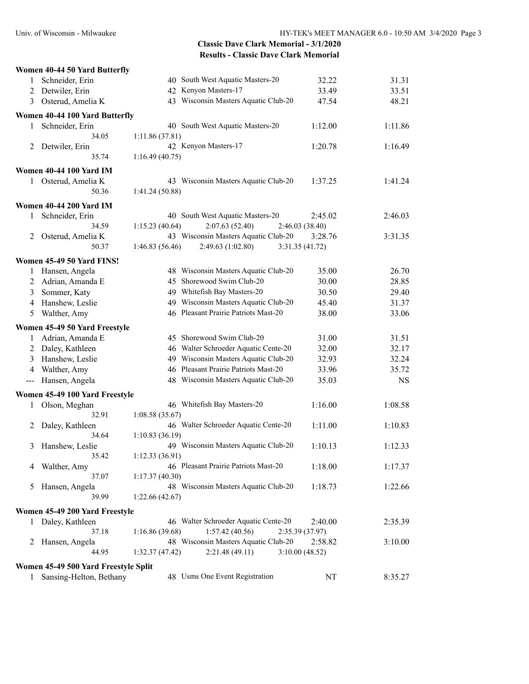|                                                                                                | Women 40-44 50 Yard Butterfly        |                                      |                 |           |
|------------------------------------------------------------------------------------------------|--------------------------------------|--------------------------------------|-----------------|-----------|
| 1                                                                                              | Schneider, Erin                      | 40 South West Aquatic Masters-20     | 32.22           | 31.31     |
| 2                                                                                              | Detwiler, Erin                       | 42 Kenyon Masters-17                 | 33.49           | 33.51     |
| 3                                                                                              | Osterud, Amelia K                    | 43 Wisconsin Masters Aquatic Club-20 | 47.54           | 48.21     |
|                                                                                                | Women 40-44 100 Yard Butterfly       |                                      |                 |           |
| 1                                                                                              | Schneider, Erin                      | 40 South West Aquatic Masters-20     | 1:12.00         | 1:11.86   |
|                                                                                                | 34.05                                | 1:11.86 (37.81)                      |                 |           |
|                                                                                                | 2 Detwiler, Erin                     | 42 Kenyon Masters-17                 | 1:20.78         | 1:16.49   |
|                                                                                                | 35.74                                | 1:16.49(40.75)                       |                 |           |
|                                                                                                | <b>Women 40-44 100 Yard IM</b>       |                                      |                 |           |
| 1                                                                                              | Osterud, Amelia K                    | 43 Wisconsin Masters Aquatic Club-20 | 1:37.25         | 1:41.24   |
|                                                                                                | 50.36                                | 1:41.24(50.88)                       |                 |           |
|                                                                                                | <b>Women 40-44 200 Yard IM</b>       |                                      |                 |           |
| 1                                                                                              | Schneider, Erin                      | 40 South West Aquatic Masters-20     | 2:45.02         | 2:46.03   |
|                                                                                                | 34.59                                | 1:15.23(40.64)<br>2:07.63(52.40)     | 2:46.03 (38.40) |           |
| 2                                                                                              | Osterud, Amelia K                    | 43 Wisconsin Masters Aquatic Club-20 | 3:28.76         | 3:31.35   |
|                                                                                                | 50.37                                | 1:46.83(56.46)<br>2:49.63(1:02.80)   | 3:31.35 (41.72) |           |
|                                                                                                | Women 45-49 50 Yard FINS!            |                                      |                 |           |
| 1                                                                                              | Hansen, Angela                       | 48 Wisconsin Masters Aquatic Club-20 | 35.00           | 26.70     |
| 2                                                                                              | Adrian, Amanda E                     | 45 Shorewood Swim Club-20            | 30.00           | 28.85     |
| 3                                                                                              | Sommer, Katy                         | 49 Whitefish Bay Masters-20          | 30.50           | 29.40     |
| 4                                                                                              | Hanshew, Leslie                      | 49 Wisconsin Masters Aquatic Club-20 | 45.40           | 31.37     |
| 5                                                                                              | Walther, Amy                         | 46 Pleasant Prairie Patriots Mast-20 | 38.00           | 33.06     |
|                                                                                                | Women 45-49 50 Yard Freestyle        |                                      |                 |           |
| 1                                                                                              | Adrian, Amanda E                     | 45 Shorewood Swim Club-20            | 31.00           | 31.51     |
| 2                                                                                              | Daley, Kathleen                      | 46 Walter Schroeder Aquatic Cente-20 | 32.00           | 32.17     |
| 3                                                                                              | Hanshew, Leslie                      | 49 Wisconsin Masters Aquatic Club-20 | 32.93           | 32.24     |
| 4                                                                                              | Walther, Amy                         | 46 Pleasant Prairie Patriots Mast-20 | 33.96           | 35.72     |
| $\frac{1}{2} \left( \frac{1}{2} \right) \left( \frac{1}{2} \right) \left( \frac{1}{2} \right)$ | Hansen, Angela                       | 48 Wisconsin Masters Aquatic Club-20 | 35.03           | <b>NS</b> |
|                                                                                                |                                      |                                      |                 |           |
|                                                                                                | Women 45-49 100 Yard Freestyle       | 46 Whitefish Bay Masters-20          | 1:16.00         | 1:08.58   |
| 1                                                                                              | Olson, Meghan<br>32.91               | 1:08.58(35.67)                       |                 |           |
| 2                                                                                              | Daley, Kathleen                      | 46 Walter Schroeder Aquatic Cente-20 | 1:11.00         | 1:10.83   |
|                                                                                                | 34.64                                | 1:10.83(36.19)                       |                 |           |
| 3                                                                                              | Hanshew, Leslie                      | 49 Wisconsin Masters Aquatic Club-20 | 1:10.13         | 1:12.33   |
|                                                                                                | 35.42                                | 1:12.33(36.91)                       |                 |           |
| 4                                                                                              | Walther, Amy                         | 46 Pleasant Prairie Patriots Mast-20 | 1:18.00         | 1:17.37   |
|                                                                                                | 37.07                                | 1:17.37(40.30)                       |                 |           |
| 5                                                                                              | Hansen, Angela                       | 48 Wisconsin Masters Aquatic Club-20 | 1:18.73         | 1:22.66   |
|                                                                                                | 39.99                                | 1:22.66(42.67)                       |                 |           |
|                                                                                                | Women 45-49 200 Yard Freestyle       |                                      |                 |           |
|                                                                                                | 1 Daley, Kathleen                    | 46 Walter Schroeder Aquatic Cente-20 | 2:40.00         | 2:35.39   |
|                                                                                                | 37.18                                | 1:16.86(39.68)<br>1:57.42(40.56)     | 2:35.39 (37.97) |           |
| 2                                                                                              | Hansen, Angela                       | 48 Wisconsin Masters Aquatic Club-20 | 2:58.82         | 3:10.00   |
|                                                                                                | 44.95                                | 2:21.48(49.11)<br>1:32.37(47.42)     | 3:10.00(48.52)  |           |
|                                                                                                | Women 45-49 500 Yard Freestyle Split |                                      |                 |           |
| 1                                                                                              | Sansing-Helton, Bethany              | 48 Usms One Event Registration       | NT              | 8:35.27   |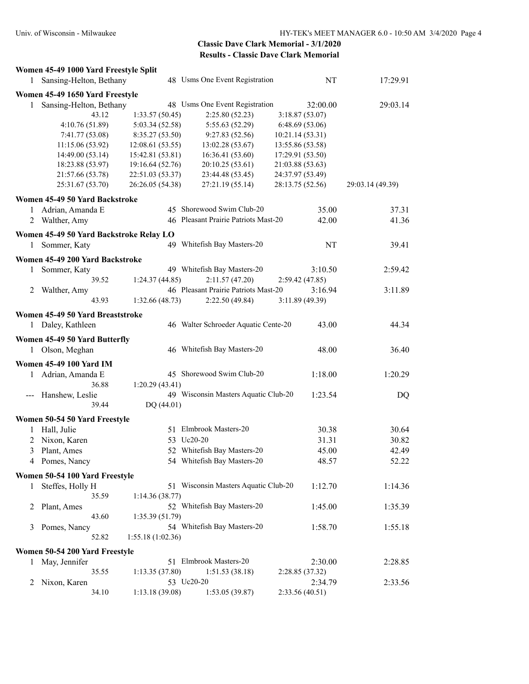|              | Women 45-49 1000 Yard Freestyle Split   |                  |                                      |                  |                  |
|--------------|-----------------------------------------|------------------|--------------------------------------|------------------|------------------|
| 1            | Sansing-Helton, Bethany                 |                  | 48 Usms One Event Registration       | NT               | 17:29.91         |
|              | Women 45-49 1650 Yard Freestyle         |                  |                                      |                  |                  |
| 1            | Sansing-Helton, Bethany                 |                  | 48 Usms One Event Registration       | 32:00.00         | 29:03.14         |
|              | 43.12                                   | 1:33.57(50.45)   | 2:25.80(52.23)                       | 3:18.87(53.07)   |                  |
|              | 4:10.76 (51.89)                         | 5:03.34 (52.58)  | 5:55.63 (52.29)                      | 6:48.69 (53.06)  |                  |
|              | 7:41.77 (53.08)                         | 8:35.27(53.50)   | 9:27.83(52.56)                       | 10:21.14 (53.31) |                  |
|              | 11:15.06 (53.92)                        | 12:08.61 (53.55) | 13:02.28 (53.67)                     | 13:55.86 (53.58) |                  |
|              | 14:49.00 (53.14)                        | 15:42.81 (53.81) | 16:36.41 (53.60)                     | 17:29.91 (53.50) |                  |
|              | 18:23.88 (53.97)                        | 19:16.64 (52.76) | 20:10.25 (53.61)                     | 21:03.88 (53.63) |                  |
|              | 21:57.66 (53.78)                        | 22:51.03 (53.37) | 23:44.48 (53.45)                     | 24:37.97 (53.49) |                  |
|              | 25:31.67 (53.70)                        | 26:26.05 (54.38) | 27:21.19 (55.14)                     | 28:13.75 (52.56) | 29:03.14 (49.39) |
|              | Women 45-49 50 Yard Backstroke          |                  |                                      |                  |                  |
| $\mathbf{1}$ | Adrian, Amanda E                        |                  | 45 Shorewood Swim Club-20            | 35.00            | 37.31            |
| 2            | Walther, Amy                            |                  | 46 Pleasant Prairie Patriots Mast-20 | 42.00            | 41.36            |
|              | Women 45-49 50 Yard Backstroke Relay LO |                  |                                      |                  |                  |
| 1            | Sommer, Katy                            |                  | 49 Whitefish Bay Masters-20          | NT               | 39.41            |
|              | Women 45-49 200 Yard Backstroke         |                  |                                      |                  |                  |
| 1            | Sommer, Katy                            |                  | 49 Whitefish Bay Masters-20          | 3:10.50          | 2:59.42          |
|              | 39.52                                   | 1:24.37(44.85)   | 2:11.57(47.20)                       | 2:59.42(47.85)   |                  |
|              | 2 Walther, Amy                          |                  | 46 Pleasant Prairie Patriots Mast-20 | 3:16.94          | 3:11.89          |
|              | 43.93                                   | 1:32.66(48.73)   | 2:22.50 (49.84)                      | 3:11.89 (49.39)  |                  |
|              | Women 45-49 50 Yard Breaststroke        |                  |                                      |                  |                  |
|              | 1 Daley, Kathleen                       |                  | 46 Walter Schroeder Aquatic Cente-20 | 43.00            | 44.34            |
|              | Women 45-49 50 Yard Butterfly           |                  |                                      |                  |                  |
|              | 1 Olson, Meghan                         |                  | 46 Whitefish Bay Masters-20          | 48.00            | 36.40            |
|              |                                         |                  |                                      |                  |                  |
|              | <b>Women 45-49 100 Yard IM</b>          |                  |                                      |                  |                  |
| $\mathbf{1}$ | Adrian, Amanda E                        |                  | 45 Shorewood Swim Club-20            | 1:18.00          | 1:20.29          |
|              | 36.88                                   | 1:20.29(43.41)   |                                      |                  |                  |
|              | --- Hanshew, Leslie                     |                  | 49 Wisconsin Masters Aquatic Club-20 | 1:23.54          | DQ               |
|              | 39.44                                   | DQ (44.01)       |                                      |                  |                  |
|              | Women 50-54 50 Yard Freestyle           |                  |                                      |                  |                  |
| 1            | Hall, Julie                             |                  | 51 Elmbrook Masters-20               | 30.38            | 30.64            |
| 2            | Nixon, Karen                            |                  | 53 Uc20-20                           | 31.31            | 30.82            |
| 3            | Plant, Ames                             | 52               | Whitefish Bay Masters-20             | 45.00            | 42.49            |
|              | 4 Pomes, Nancy                          |                  | 54 Whitefish Bay Masters-20          | 48.57            | 52.22            |
|              | Women 50-54 100 Yard Freestyle          |                  |                                      |                  |                  |
| 1            | Steffes, Holly H                        |                  | 51 Wisconsin Masters Aquatic Club-20 | 1:12.70          | 1:14.36          |
|              | 35.59                                   | 1:14.36(38.77)   |                                      |                  |                  |
| 2            | Plant, Ames                             |                  | 52 Whitefish Bay Masters-20          | 1:45.00          | 1:35.39          |
|              | 43.60                                   | 1:35.39(51.79)   |                                      |                  |                  |
| 3            | Pomes, Nancy                            |                  | 54 Whitefish Bay Masters-20          | 1:58.70          | 1:55.18          |
|              | 52.82                                   | 1:55.18(1:02.36) |                                      |                  |                  |
|              | Women 50-54 200 Yard Freestyle          |                  |                                      |                  |                  |
|              | 1 May, Jennifer                         |                  | 51 Elmbrook Masters-20               | 2:30.00          | 2:28.85          |
|              | 35.55                                   | 1:13.35(37.80)   | 1:51.53(38.18)                       | 2:28.85 (37.32)  |                  |
| 2            | Nixon, Karen                            |                  | 53 Uc20-20                           | 2:34.79          | 2:33.56          |
|              | 34.10                                   | 1:13.18(39.08)   | 1:53.05(39.87)                       | 2:33.56 (40.51)  |                  |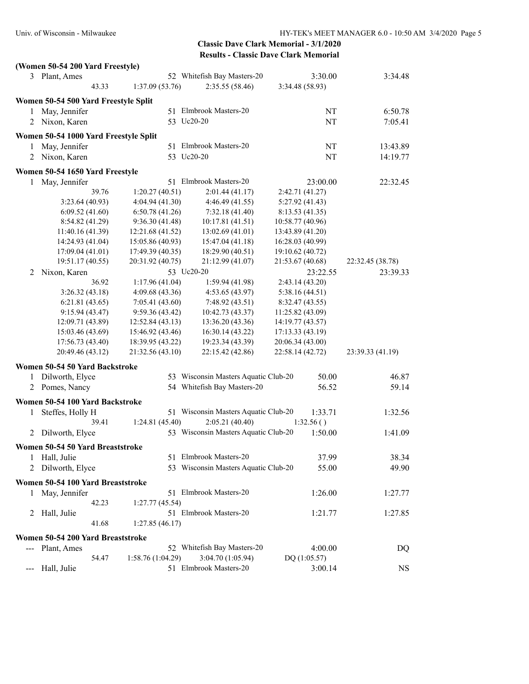| 3 Plant, Ames<br>52 Whitefish Bay Masters-20<br>3:30.00<br>3:34.48<br>43.33<br>1:37.09(53.76)<br>2:35.55 (58.46)<br>3:34.48 (58.93)<br>Women 50-54 500 Yard Freestyle Split<br>May, Jennifer<br>51 Elmbrook Masters-20<br>NT<br>6:50.78<br>1<br>53 Uc20-20<br>2 Nixon, Karen<br>NT<br>7:05.41<br>Women 50-54 1000 Yard Freestyle Split<br>May, Jennifer<br>51 Elmbrook Masters-20<br>NT<br>13:43.89<br>$\mathbf{1}$<br>53 Uc20-20<br>Nixon, Karen<br>NT<br>14:19.77<br>2<br>Women 50-54 1650 Yard Freestyle<br>51 Elmbrook Masters-20<br>1 May, Jennifer<br>23:00.00<br>22:32.45<br>39.76<br>1:20.27(40.51)<br>2:01.44(41.17)<br>2:42.71 (41.27)<br>3:23.64(40.93)<br>4:04.94(41.30)<br>4:46.49(41.55)<br>5:27.92 (41.43)<br>6:09.52(41.60)<br>6:50.78(41.26)<br>7:32.18(41.40)<br>8:13.53(41.35)<br>8:54.82 (41.29)<br>9:36.30(41.48)<br>10:17.81 (41.51)<br>10:58.77 (40.96)<br>11:40.16 (41.39)<br>12:21.68 (41.52)<br>13:02.69 (41.01)<br>13:43.89 (41.20)<br>14:24.93 (41.04)<br>15:05.86 (40.93)<br>15:47.04 (41.18)<br>16:28.03 (40.99)<br>17:09.04 (41.01)<br>17:49.39 (40.35)<br>18:29.90 (40.51)<br>19:10.62 (40.72)<br>19:51.17 (40.55)<br>21:53.67 (40.68)<br>20:31.92 (40.75)<br>21:12.99 (41.07)<br>22:32.45 (38.78)<br>Nixon, Karen<br>53 Uc20-20<br>23:22.55<br>23:39.33<br>2<br>36.92<br>1:17.96(41.04)<br>1:59.94(41.98)<br>2:43.14(43.20)<br>3:26.32(43.18)<br>4:09.68(43.36)<br>4:53.65(43.97)<br>5:38.16(44.51)<br>6:21.81(43.65)<br>7:05.41(43.60)<br>7:48.92 (43.51)<br>8:32.47 (43.55)<br>9:15.94(43.47)<br>9:59.36(43.42)<br>10:42.73 (43.37)<br>11:25.82 (43.09)<br>12:09.71 (43.89)<br>12:52.84 (43.13)<br>13:36.20 (43.36)<br>14:19.77 (43.57)<br>15:03.46 (43.69)<br>15:46.92 (43.46)<br>17:13.33 (43.19)<br>16:30.14 (43.22)<br>17:56.73 (43.40)<br>18:39.95 (43.22)<br>20:06.34 (43.00)<br>19:23.34 (43.39)<br>23:39.33 (41.19)<br>20:49.46 (43.12)<br>21:32.56 (43.10)<br>22:15.42 (42.86)<br>22:58.14 (42.72)<br>Women 50-54 50 Yard Backstroke<br>53 Wisconsin Masters Aquatic Club-20<br>Dilworth, Elyce<br>50.00<br>46.87<br>1<br>54 Whitefish Bay Masters-20<br>2 Pomes, Nancy<br>56.52<br>59.14<br>Women 50-54 100 Yard Backstroke<br>51 Wisconsin Masters Aquatic Club-20<br>Steffes, Holly H<br>1:33.71<br>1:32.56<br>1<br>2:05.21 (40.40)<br>39.41<br>1:24.81(45.40)<br>1:32.56()<br>53 Wisconsin Masters Aquatic Club-20<br>1:50.00<br>1:41.09<br>Dilworth, Elyce<br>$\overline{2}$<br>Women 50-54 50 Yard Breaststroke<br>51 Elmbrook Masters-20<br>38.34<br>1 Hall, Julie<br>37.99<br>53 Wisconsin Masters Aquatic Club-20<br>Dilworth, Elyce<br>55.00<br>49.90<br>2<br>Women 50-54 100 Yard Breaststroke<br>51 Elmbrook Masters-20<br>1:26.00<br>1:27.77<br>May, Jennifer<br>1<br>42.23<br>1:27.77(45.54)<br>51 Elmbrook Masters-20<br>Hall, Julie<br>1:27.85<br>1:21.77<br>2<br>41.68<br>1:27.85(46.17)<br>Women 50-54 200 Yard Breaststroke<br>Plant, Ames<br>52 Whitefish Bay Masters-20<br>4:00.00<br>DQ<br>54.47<br>3:04.70 (1:05.94)<br>1:58.76 (1:04.29)<br>DQ(1:05.57)<br>51 Elmbrook Masters-20<br>Hall, Julie<br><b>NS</b><br>3:00.14<br>$---$ | (Women 50-54 200 Yard Freestyle) |  |  |
|-------------------------------------------------------------------------------------------------------------------------------------------------------------------------------------------------------------------------------------------------------------------------------------------------------------------------------------------------------------------------------------------------------------------------------------------------------------------------------------------------------------------------------------------------------------------------------------------------------------------------------------------------------------------------------------------------------------------------------------------------------------------------------------------------------------------------------------------------------------------------------------------------------------------------------------------------------------------------------------------------------------------------------------------------------------------------------------------------------------------------------------------------------------------------------------------------------------------------------------------------------------------------------------------------------------------------------------------------------------------------------------------------------------------------------------------------------------------------------------------------------------------------------------------------------------------------------------------------------------------------------------------------------------------------------------------------------------------------------------------------------------------------------------------------------------------------------------------------------------------------------------------------------------------------------------------------------------------------------------------------------------------------------------------------------------------------------------------------------------------------------------------------------------------------------------------------------------------------------------------------------------------------------------------------------------------------------------------------------------------------------------------------------------------------------------------------------------------------------------------------------------------------------------------------------------------------------------------------------------------------------------------------------------------------------------------------------------------------------------------------------------------------------------------------------------------------------------------------------------------------------------------------------------------------------------------------------------------------------------------------------------------------------------------------------------------------------------------------------|----------------------------------|--|--|
|                                                                                                                                                                                                                                                                                                                                                                                                                                                                                                                                                                                                                                                                                                                                                                                                                                                                                                                                                                                                                                                                                                                                                                                                                                                                                                                                                                                                                                                                                                                                                                                                                                                                                                                                                                                                                                                                                                                                                                                                                                                                                                                                                                                                                                                                                                                                                                                                                                                                                                                                                                                                                                                                                                                                                                                                                                                                                                                                                                                                                                                                                                       |                                  |  |  |
|                                                                                                                                                                                                                                                                                                                                                                                                                                                                                                                                                                                                                                                                                                                                                                                                                                                                                                                                                                                                                                                                                                                                                                                                                                                                                                                                                                                                                                                                                                                                                                                                                                                                                                                                                                                                                                                                                                                                                                                                                                                                                                                                                                                                                                                                                                                                                                                                                                                                                                                                                                                                                                                                                                                                                                                                                                                                                                                                                                                                                                                                                                       |                                  |  |  |
|                                                                                                                                                                                                                                                                                                                                                                                                                                                                                                                                                                                                                                                                                                                                                                                                                                                                                                                                                                                                                                                                                                                                                                                                                                                                                                                                                                                                                                                                                                                                                                                                                                                                                                                                                                                                                                                                                                                                                                                                                                                                                                                                                                                                                                                                                                                                                                                                                                                                                                                                                                                                                                                                                                                                                                                                                                                                                                                                                                                                                                                                                                       |                                  |  |  |
|                                                                                                                                                                                                                                                                                                                                                                                                                                                                                                                                                                                                                                                                                                                                                                                                                                                                                                                                                                                                                                                                                                                                                                                                                                                                                                                                                                                                                                                                                                                                                                                                                                                                                                                                                                                                                                                                                                                                                                                                                                                                                                                                                                                                                                                                                                                                                                                                                                                                                                                                                                                                                                                                                                                                                                                                                                                                                                                                                                                                                                                                                                       |                                  |  |  |
|                                                                                                                                                                                                                                                                                                                                                                                                                                                                                                                                                                                                                                                                                                                                                                                                                                                                                                                                                                                                                                                                                                                                                                                                                                                                                                                                                                                                                                                                                                                                                                                                                                                                                                                                                                                                                                                                                                                                                                                                                                                                                                                                                                                                                                                                                                                                                                                                                                                                                                                                                                                                                                                                                                                                                                                                                                                                                                                                                                                                                                                                                                       |                                  |  |  |
|                                                                                                                                                                                                                                                                                                                                                                                                                                                                                                                                                                                                                                                                                                                                                                                                                                                                                                                                                                                                                                                                                                                                                                                                                                                                                                                                                                                                                                                                                                                                                                                                                                                                                                                                                                                                                                                                                                                                                                                                                                                                                                                                                                                                                                                                                                                                                                                                                                                                                                                                                                                                                                                                                                                                                                                                                                                                                                                                                                                                                                                                                                       |                                  |  |  |
|                                                                                                                                                                                                                                                                                                                                                                                                                                                                                                                                                                                                                                                                                                                                                                                                                                                                                                                                                                                                                                                                                                                                                                                                                                                                                                                                                                                                                                                                                                                                                                                                                                                                                                                                                                                                                                                                                                                                                                                                                                                                                                                                                                                                                                                                                                                                                                                                                                                                                                                                                                                                                                                                                                                                                                                                                                                                                                                                                                                                                                                                                                       |                                  |  |  |
|                                                                                                                                                                                                                                                                                                                                                                                                                                                                                                                                                                                                                                                                                                                                                                                                                                                                                                                                                                                                                                                                                                                                                                                                                                                                                                                                                                                                                                                                                                                                                                                                                                                                                                                                                                                                                                                                                                                                                                                                                                                                                                                                                                                                                                                                                                                                                                                                                                                                                                                                                                                                                                                                                                                                                                                                                                                                                                                                                                                                                                                                                                       |                                  |  |  |
|                                                                                                                                                                                                                                                                                                                                                                                                                                                                                                                                                                                                                                                                                                                                                                                                                                                                                                                                                                                                                                                                                                                                                                                                                                                                                                                                                                                                                                                                                                                                                                                                                                                                                                                                                                                                                                                                                                                                                                                                                                                                                                                                                                                                                                                                                                                                                                                                                                                                                                                                                                                                                                                                                                                                                                                                                                                                                                                                                                                                                                                                                                       |                                  |  |  |
|                                                                                                                                                                                                                                                                                                                                                                                                                                                                                                                                                                                                                                                                                                                                                                                                                                                                                                                                                                                                                                                                                                                                                                                                                                                                                                                                                                                                                                                                                                                                                                                                                                                                                                                                                                                                                                                                                                                                                                                                                                                                                                                                                                                                                                                                                                                                                                                                                                                                                                                                                                                                                                                                                                                                                                                                                                                                                                                                                                                                                                                                                                       |                                  |  |  |
|                                                                                                                                                                                                                                                                                                                                                                                                                                                                                                                                                                                                                                                                                                                                                                                                                                                                                                                                                                                                                                                                                                                                                                                                                                                                                                                                                                                                                                                                                                                                                                                                                                                                                                                                                                                                                                                                                                                                                                                                                                                                                                                                                                                                                                                                                                                                                                                                                                                                                                                                                                                                                                                                                                                                                                                                                                                                                                                                                                                                                                                                                                       |                                  |  |  |
|                                                                                                                                                                                                                                                                                                                                                                                                                                                                                                                                                                                                                                                                                                                                                                                                                                                                                                                                                                                                                                                                                                                                                                                                                                                                                                                                                                                                                                                                                                                                                                                                                                                                                                                                                                                                                                                                                                                                                                                                                                                                                                                                                                                                                                                                                                                                                                                                                                                                                                                                                                                                                                                                                                                                                                                                                                                                                                                                                                                                                                                                                                       |                                  |  |  |
|                                                                                                                                                                                                                                                                                                                                                                                                                                                                                                                                                                                                                                                                                                                                                                                                                                                                                                                                                                                                                                                                                                                                                                                                                                                                                                                                                                                                                                                                                                                                                                                                                                                                                                                                                                                                                                                                                                                                                                                                                                                                                                                                                                                                                                                                                                                                                                                                                                                                                                                                                                                                                                                                                                                                                                                                                                                                                                                                                                                                                                                                                                       |                                  |  |  |
|                                                                                                                                                                                                                                                                                                                                                                                                                                                                                                                                                                                                                                                                                                                                                                                                                                                                                                                                                                                                                                                                                                                                                                                                                                                                                                                                                                                                                                                                                                                                                                                                                                                                                                                                                                                                                                                                                                                                                                                                                                                                                                                                                                                                                                                                                                                                                                                                                                                                                                                                                                                                                                                                                                                                                                                                                                                                                                                                                                                                                                                                                                       |                                  |  |  |
|                                                                                                                                                                                                                                                                                                                                                                                                                                                                                                                                                                                                                                                                                                                                                                                                                                                                                                                                                                                                                                                                                                                                                                                                                                                                                                                                                                                                                                                                                                                                                                                                                                                                                                                                                                                                                                                                                                                                                                                                                                                                                                                                                                                                                                                                                                                                                                                                                                                                                                                                                                                                                                                                                                                                                                                                                                                                                                                                                                                                                                                                                                       |                                  |  |  |
|                                                                                                                                                                                                                                                                                                                                                                                                                                                                                                                                                                                                                                                                                                                                                                                                                                                                                                                                                                                                                                                                                                                                                                                                                                                                                                                                                                                                                                                                                                                                                                                                                                                                                                                                                                                                                                                                                                                                                                                                                                                                                                                                                                                                                                                                                                                                                                                                                                                                                                                                                                                                                                                                                                                                                                                                                                                                                                                                                                                                                                                                                                       |                                  |  |  |
|                                                                                                                                                                                                                                                                                                                                                                                                                                                                                                                                                                                                                                                                                                                                                                                                                                                                                                                                                                                                                                                                                                                                                                                                                                                                                                                                                                                                                                                                                                                                                                                                                                                                                                                                                                                                                                                                                                                                                                                                                                                                                                                                                                                                                                                                                                                                                                                                                                                                                                                                                                                                                                                                                                                                                                                                                                                                                                                                                                                                                                                                                                       |                                  |  |  |
|                                                                                                                                                                                                                                                                                                                                                                                                                                                                                                                                                                                                                                                                                                                                                                                                                                                                                                                                                                                                                                                                                                                                                                                                                                                                                                                                                                                                                                                                                                                                                                                                                                                                                                                                                                                                                                                                                                                                                                                                                                                                                                                                                                                                                                                                                                                                                                                                                                                                                                                                                                                                                                                                                                                                                                                                                                                                                                                                                                                                                                                                                                       |                                  |  |  |
|                                                                                                                                                                                                                                                                                                                                                                                                                                                                                                                                                                                                                                                                                                                                                                                                                                                                                                                                                                                                                                                                                                                                                                                                                                                                                                                                                                                                                                                                                                                                                                                                                                                                                                                                                                                                                                                                                                                                                                                                                                                                                                                                                                                                                                                                                                                                                                                                                                                                                                                                                                                                                                                                                                                                                                                                                                                                                                                                                                                                                                                                                                       |                                  |  |  |
|                                                                                                                                                                                                                                                                                                                                                                                                                                                                                                                                                                                                                                                                                                                                                                                                                                                                                                                                                                                                                                                                                                                                                                                                                                                                                                                                                                                                                                                                                                                                                                                                                                                                                                                                                                                                                                                                                                                                                                                                                                                                                                                                                                                                                                                                                                                                                                                                                                                                                                                                                                                                                                                                                                                                                                                                                                                                                                                                                                                                                                                                                                       |                                  |  |  |
|                                                                                                                                                                                                                                                                                                                                                                                                                                                                                                                                                                                                                                                                                                                                                                                                                                                                                                                                                                                                                                                                                                                                                                                                                                                                                                                                                                                                                                                                                                                                                                                                                                                                                                                                                                                                                                                                                                                                                                                                                                                                                                                                                                                                                                                                                                                                                                                                                                                                                                                                                                                                                                                                                                                                                                                                                                                                                                                                                                                                                                                                                                       |                                  |  |  |
|                                                                                                                                                                                                                                                                                                                                                                                                                                                                                                                                                                                                                                                                                                                                                                                                                                                                                                                                                                                                                                                                                                                                                                                                                                                                                                                                                                                                                                                                                                                                                                                                                                                                                                                                                                                                                                                                                                                                                                                                                                                                                                                                                                                                                                                                                                                                                                                                                                                                                                                                                                                                                                                                                                                                                                                                                                                                                                                                                                                                                                                                                                       |                                  |  |  |
|                                                                                                                                                                                                                                                                                                                                                                                                                                                                                                                                                                                                                                                                                                                                                                                                                                                                                                                                                                                                                                                                                                                                                                                                                                                                                                                                                                                                                                                                                                                                                                                                                                                                                                                                                                                                                                                                                                                                                                                                                                                                                                                                                                                                                                                                                                                                                                                                                                                                                                                                                                                                                                                                                                                                                                                                                                                                                                                                                                                                                                                                                                       |                                  |  |  |
|                                                                                                                                                                                                                                                                                                                                                                                                                                                                                                                                                                                                                                                                                                                                                                                                                                                                                                                                                                                                                                                                                                                                                                                                                                                                                                                                                                                                                                                                                                                                                                                                                                                                                                                                                                                                                                                                                                                                                                                                                                                                                                                                                                                                                                                                                                                                                                                                                                                                                                                                                                                                                                                                                                                                                                                                                                                                                                                                                                                                                                                                                                       |                                  |  |  |
|                                                                                                                                                                                                                                                                                                                                                                                                                                                                                                                                                                                                                                                                                                                                                                                                                                                                                                                                                                                                                                                                                                                                                                                                                                                                                                                                                                                                                                                                                                                                                                                                                                                                                                                                                                                                                                                                                                                                                                                                                                                                                                                                                                                                                                                                                                                                                                                                                                                                                                                                                                                                                                                                                                                                                                                                                                                                                                                                                                                                                                                                                                       |                                  |  |  |
|                                                                                                                                                                                                                                                                                                                                                                                                                                                                                                                                                                                                                                                                                                                                                                                                                                                                                                                                                                                                                                                                                                                                                                                                                                                                                                                                                                                                                                                                                                                                                                                                                                                                                                                                                                                                                                                                                                                                                                                                                                                                                                                                                                                                                                                                                                                                                                                                                                                                                                                                                                                                                                                                                                                                                                                                                                                                                                                                                                                                                                                                                                       |                                  |  |  |
|                                                                                                                                                                                                                                                                                                                                                                                                                                                                                                                                                                                                                                                                                                                                                                                                                                                                                                                                                                                                                                                                                                                                                                                                                                                                                                                                                                                                                                                                                                                                                                                                                                                                                                                                                                                                                                                                                                                                                                                                                                                                                                                                                                                                                                                                                                                                                                                                                                                                                                                                                                                                                                                                                                                                                                                                                                                                                                                                                                                                                                                                                                       |                                  |  |  |
|                                                                                                                                                                                                                                                                                                                                                                                                                                                                                                                                                                                                                                                                                                                                                                                                                                                                                                                                                                                                                                                                                                                                                                                                                                                                                                                                                                                                                                                                                                                                                                                                                                                                                                                                                                                                                                                                                                                                                                                                                                                                                                                                                                                                                                                                                                                                                                                                                                                                                                                                                                                                                                                                                                                                                                                                                                                                                                                                                                                                                                                                                                       |                                  |  |  |
|                                                                                                                                                                                                                                                                                                                                                                                                                                                                                                                                                                                                                                                                                                                                                                                                                                                                                                                                                                                                                                                                                                                                                                                                                                                                                                                                                                                                                                                                                                                                                                                                                                                                                                                                                                                                                                                                                                                                                                                                                                                                                                                                                                                                                                                                                                                                                                                                                                                                                                                                                                                                                                                                                                                                                                                                                                                                                                                                                                                                                                                                                                       |                                  |  |  |
|                                                                                                                                                                                                                                                                                                                                                                                                                                                                                                                                                                                                                                                                                                                                                                                                                                                                                                                                                                                                                                                                                                                                                                                                                                                                                                                                                                                                                                                                                                                                                                                                                                                                                                                                                                                                                                                                                                                                                                                                                                                                                                                                                                                                                                                                                                                                                                                                                                                                                                                                                                                                                                                                                                                                                                                                                                                                                                                                                                                                                                                                                                       |                                  |  |  |
|                                                                                                                                                                                                                                                                                                                                                                                                                                                                                                                                                                                                                                                                                                                                                                                                                                                                                                                                                                                                                                                                                                                                                                                                                                                                                                                                                                                                                                                                                                                                                                                                                                                                                                                                                                                                                                                                                                                                                                                                                                                                                                                                                                                                                                                                                                                                                                                                                                                                                                                                                                                                                                                                                                                                                                                                                                                                                                                                                                                                                                                                                                       |                                  |  |  |
|                                                                                                                                                                                                                                                                                                                                                                                                                                                                                                                                                                                                                                                                                                                                                                                                                                                                                                                                                                                                                                                                                                                                                                                                                                                                                                                                                                                                                                                                                                                                                                                                                                                                                                                                                                                                                                                                                                                                                                                                                                                                                                                                                                                                                                                                                                                                                                                                                                                                                                                                                                                                                                                                                                                                                                                                                                                                                                                                                                                                                                                                                                       |                                  |  |  |
|                                                                                                                                                                                                                                                                                                                                                                                                                                                                                                                                                                                                                                                                                                                                                                                                                                                                                                                                                                                                                                                                                                                                                                                                                                                                                                                                                                                                                                                                                                                                                                                                                                                                                                                                                                                                                                                                                                                                                                                                                                                                                                                                                                                                                                                                                                                                                                                                                                                                                                                                                                                                                                                                                                                                                                                                                                                                                                                                                                                                                                                                                                       |                                  |  |  |
|                                                                                                                                                                                                                                                                                                                                                                                                                                                                                                                                                                                                                                                                                                                                                                                                                                                                                                                                                                                                                                                                                                                                                                                                                                                                                                                                                                                                                                                                                                                                                                                                                                                                                                                                                                                                                                                                                                                                                                                                                                                                                                                                                                                                                                                                                                                                                                                                                                                                                                                                                                                                                                                                                                                                                                                                                                                                                                                                                                                                                                                                                                       |                                  |  |  |
|                                                                                                                                                                                                                                                                                                                                                                                                                                                                                                                                                                                                                                                                                                                                                                                                                                                                                                                                                                                                                                                                                                                                                                                                                                                                                                                                                                                                                                                                                                                                                                                                                                                                                                                                                                                                                                                                                                                                                                                                                                                                                                                                                                                                                                                                                                                                                                                                                                                                                                                                                                                                                                                                                                                                                                                                                                                                                                                                                                                                                                                                                                       |                                  |  |  |
|                                                                                                                                                                                                                                                                                                                                                                                                                                                                                                                                                                                                                                                                                                                                                                                                                                                                                                                                                                                                                                                                                                                                                                                                                                                                                                                                                                                                                                                                                                                                                                                                                                                                                                                                                                                                                                                                                                                                                                                                                                                                                                                                                                                                                                                                                                                                                                                                                                                                                                                                                                                                                                                                                                                                                                                                                                                                                                                                                                                                                                                                                                       |                                  |  |  |
|                                                                                                                                                                                                                                                                                                                                                                                                                                                                                                                                                                                                                                                                                                                                                                                                                                                                                                                                                                                                                                                                                                                                                                                                                                                                                                                                                                                                                                                                                                                                                                                                                                                                                                                                                                                                                                                                                                                                                                                                                                                                                                                                                                                                                                                                                                                                                                                                                                                                                                                                                                                                                                                                                                                                                                                                                                                                                                                                                                                                                                                                                                       |                                  |  |  |
|                                                                                                                                                                                                                                                                                                                                                                                                                                                                                                                                                                                                                                                                                                                                                                                                                                                                                                                                                                                                                                                                                                                                                                                                                                                                                                                                                                                                                                                                                                                                                                                                                                                                                                                                                                                                                                                                                                                                                                                                                                                                                                                                                                                                                                                                                                                                                                                                                                                                                                                                                                                                                                                                                                                                                                                                                                                                                                                                                                                                                                                                                                       |                                  |  |  |
|                                                                                                                                                                                                                                                                                                                                                                                                                                                                                                                                                                                                                                                                                                                                                                                                                                                                                                                                                                                                                                                                                                                                                                                                                                                                                                                                                                                                                                                                                                                                                                                                                                                                                                                                                                                                                                                                                                                                                                                                                                                                                                                                                                                                                                                                                                                                                                                                                                                                                                                                                                                                                                                                                                                                                                                                                                                                                                                                                                                                                                                                                                       |                                  |  |  |
|                                                                                                                                                                                                                                                                                                                                                                                                                                                                                                                                                                                                                                                                                                                                                                                                                                                                                                                                                                                                                                                                                                                                                                                                                                                                                                                                                                                                                                                                                                                                                                                                                                                                                                                                                                                                                                                                                                                                                                                                                                                                                                                                                                                                                                                                                                                                                                                                                                                                                                                                                                                                                                                                                                                                                                                                                                                                                                                                                                                                                                                                                                       |                                  |  |  |
|                                                                                                                                                                                                                                                                                                                                                                                                                                                                                                                                                                                                                                                                                                                                                                                                                                                                                                                                                                                                                                                                                                                                                                                                                                                                                                                                                                                                                                                                                                                                                                                                                                                                                                                                                                                                                                                                                                                                                                                                                                                                                                                                                                                                                                                                                                                                                                                                                                                                                                                                                                                                                                                                                                                                                                                                                                                                                                                                                                                                                                                                                                       |                                  |  |  |
|                                                                                                                                                                                                                                                                                                                                                                                                                                                                                                                                                                                                                                                                                                                                                                                                                                                                                                                                                                                                                                                                                                                                                                                                                                                                                                                                                                                                                                                                                                                                                                                                                                                                                                                                                                                                                                                                                                                                                                                                                                                                                                                                                                                                                                                                                                                                                                                                                                                                                                                                                                                                                                                                                                                                                                                                                                                                                                                                                                                                                                                                                                       |                                  |  |  |
|                                                                                                                                                                                                                                                                                                                                                                                                                                                                                                                                                                                                                                                                                                                                                                                                                                                                                                                                                                                                                                                                                                                                                                                                                                                                                                                                                                                                                                                                                                                                                                                                                                                                                                                                                                                                                                                                                                                                                                                                                                                                                                                                                                                                                                                                                                                                                                                                                                                                                                                                                                                                                                                                                                                                                                                                                                                                                                                                                                                                                                                                                                       |                                  |  |  |
|                                                                                                                                                                                                                                                                                                                                                                                                                                                                                                                                                                                                                                                                                                                                                                                                                                                                                                                                                                                                                                                                                                                                                                                                                                                                                                                                                                                                                                                                                                                                                                                                                                                                                                                                                                                                                                                                                                                                                                                                                                                                                                                                                                                                                                                                                                                                                                                                                                                                                                                                                                                                                                                                                                                                                                                                                                                                                                                                                                                                                                                                                                       |                                  |  |  |
|                                                                                                                                                                                                                                                                                                                                                                                                                                                                                                                                                                                                                                                                                                                                                                                                                                                                                                                                                                                                                                                                                                                                                                                                                                                                                                                                                                                                                                                                                                                                                                                                                                                                                                                                                                                                                                                                                                                                                                                                                                                                                                                                                                                                                                                                                                                                                                                                                                                                                                                                                                                                                                                                                                                                                                                                                                                                                                                                                                                                                                                                                                       |                                  |  |  |
|                                                                                                                                                                                                                                                                                                                                                                                                                                                                                                                                                                                                                                                                                                                                                                                                                                                                                                                                                                                                                                                                                                                                                                                                                                                                                                                                                                                                                                                                                                                                                                                                                                                                                                                                                                                                                                                                                                                                                                                                                                                                                                                                                                                                                                                                                                                                                                                                                                                                                                                                                                                                                                                                                                                                                                                                                                                                                                                                                                                                                                                                                                       |                                  |  |  |
|                                                                                                                                                                                                                                                                                                                                                                                                                                                                                                                                                                                                                                                                                                                                                                                                                                                                                                                                                                                                                                                                                                                                                                                                                                                                                                                                                                                                                                                                                                                                                                                                                                                                                                                                                                                                                                                                                                                                                                                                                                                                                                                                                                                                                                                                                                                                                                                                                                                                                                                                                                                                                                                                                                                                                                                                                                                                                                                                                                                                                                                                                                       |                                  |  |  |
|                                                                                                                                                                                                                                                                                                                                                                                                                                                                                                                                                                                                                                                                                                                                                                                                                                                                                                                                                                                                                                                                                                                                                                                                                                                                                                                                                                                                                                                                                                                                                                                                                                                                                                                                                                                                                                                                                                                                                                                                                                                                                                                                                                                                                                                                                                                                                                                                                                                                                                                                                                                                                                                                                                                                                                                                                                                                                                                                                                                                                                                                                                       |                                  |  |  |
|                                                                                                                                                                                                                                                                                                                                                                                                                                                                                                                                                                                                                                                                                                                                                                                                                                                                                                                                                                                                                                                                                                                                                                                                                                                                                                                                                                                                                                                                                                                                                                                                                                                                                                                                                                                                                                                                                                                                                                                                                                                                                                                                                                                                                                                                                                                                                                                                                                                                                                                                                                                                                                                                                                                                                                                                                                                                                                                                                                                                                                                                                                       |                                  |  |  |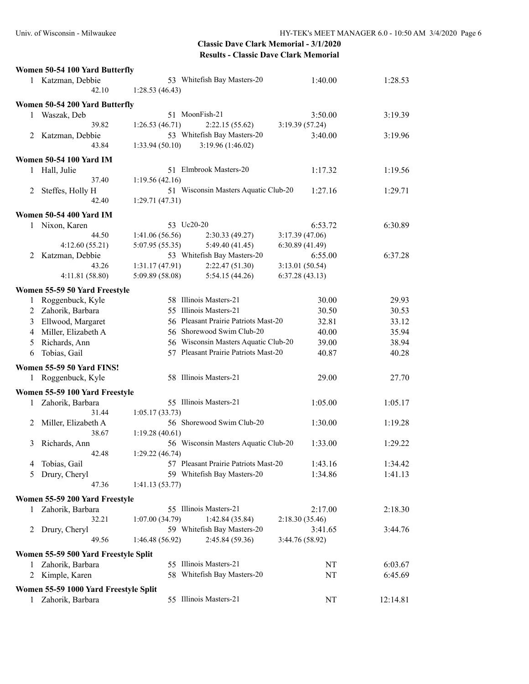|   | Women 50-54 100 Yard Butterfly                |                 |                                      |                 |          |
|---|-----------------------------------------------|-----------------|--------------------------------------|-----------------|----------|
|   | 1 Katzman, Debbie<br>42.10                    | 1:28.53(46.43)  | 53 Whitefish Bay Masters-20          | 1:40.00         | 1:28.53  |
|   | Women 50-54 200 Yard Butterfly                |                 |                                      |                 |          |
| 1 | Waszak, Deb                                   |                 | 51 MoonFish-21                       | 3:50.00         | 3:19.39  |
|   | 39.82                                         | 1:26.53(46.71)  | 2:22.15(55.62)                       | 3:19.39 (57.24) |          |
| 2 | Katzman, Debbie                               |                 | 53 Whitefish Bay Masters-20          | 3:40.00         | 3:19.96  |
|   | 43.84                                         | 1:33.94(50.10)  | 3:19.96 (1:46.02)                    |                 |          |
|   |                                               |                 |                                      |                 |          |
|   | <b>Women 50-54 100 Yard IM</b><br>Hall, Julie |                 | 51 Elmbrook Masters-20               | 1:17.32         |          |
| 1 | 37.40                                         | 1:19.56(42.16)  |                                      |                 | 1:19.56  |
|   |                                               |                 | 51 Wisconsin Masters Aquatic Club-20 | 1:27.16         | 1:29.71  |
| 2 | Steffes, Holly H<br>42.40                     | 1:29.71(47.31)  |                                      |                 |          |
|   |                                               |                 |                                      |                 |          |
|   | <b>Women 50-54 400 Yard IM</b>                |                 |                                      |                 |          |
|   | 1 Nixon, Karen                                | 53 Uc20-20      |                                      | 6:53.72         | 6:30.89  |
|   | 44.50                                         | 1:41.06 (56.56) | 2:30.33(49.27)                       | 3:17.39(47.06)  |          |
|   | 4:12.60(55.21)                                | 5:07.95(55.35)  | 5:49.40 (41.45)                      | 6:30.89(41.49)  |          |
|   | 2 Katzman, Debbie                             |                 | 53 Whitefish Bay Masters-20          | 6:55.00         | 6:37.28  |
|   | 43.26                                         | 1:31.17(47.91)  | 2:22.47(51.30)                       | 3:13.01(50.54)  |          |
|   | 4:11.81(58.80)                                | 5:09.89 (58.08) | 5:54.15(44.26)                       | 6:37.28(43.13)  |          |
|   | Women 55-59 50 Yard Freestyle                 |                 |                                      |                 |          |
| 1 | Roggenbuck, Kyle                              |                 | 58 Illinois Masters-21               | 30.00           | 29.93    |
| 2 | Zahorik, Barbara                              |                 | 55 Illinois Masters-21               | 30.50           | 30.53    |
| 3 | Ellwood, Margaret                             |                 | 56 Pleasant Prairie Patriots Mast-20 | 32.81           | 33.12    |
| 4 | Miller, Elizabeth A                           |                 | 56 Shorewood Swim Club-20            | 40.00           | 35.94    |
| 5 | Richards, Ann                                 |                 | 56 Wisconsin Masters Aquatic Club-20 | 39.00           | 38.94    |
| 6 | Tobias, Gail                                  |                 | 57 Pleasant Prairie Patriots Mast-20 | 40.87           | 40.28    |
|   |                                               |                 |                                      |                 |          |
|   | Women 55-59 50 Yard FINS!                     |                 | 58 Illinois Masters-21               |                 |          |
| 1 | Roggenbuck, Kyle                              |                 |                                      | 29.00           | 27.70    |
|   | Women 55-59 100 Yard Freestyle                |                 |                                      |                 |          |
| 1 | Zahorik, Barbara                              |                 | 55 Illinois Masters-21               | 1:05.00         | 1:05.17  |
|   | 31.44                                         | 1:05.17(33.73)  |                                      |                 |          |
| 2 | Miller, Elizabeth A                           |                 | 56 Shorewood Swim Club-20            | 1:30.00         | 1:19.28  |
|   | 38.67                                         | 1:19.28(40.61)  |                                      |                 |          |
| 3 | Richards, Ann                                 |                 | 56 Wisconsin Masters Aquatic Club-20 | 1:33.00         | 1:29.22  |
|   | 42.48                                         | 1:29.22(46.74)  |                                      |                 |          |
| 4 | Tobias, Gail                                  |                 | 57 Pleasant Prairie Patriots Mast-20 | 1:43.16         | 1:34.42  |
| 5 | Drury, Cheryl                                 |                 | 59 Whitefish Bay Masters-20          | 1:34.86         | 1:41.13  |
|   | 47.36                                         | 1:41.13(53.77)  |                                      |                 |          |
|   | Women 55-59 200 Yard Freestyle                |                 |                                      |                 |          |
| 1 | Zahorik, Barbara                              |                 | 55 Illinois Masters-21               | 2:17.00         | 2:18.30  |
|   | 32.21                                         | 1:07.00(34.79)  | 1:42.84 (35.84)                      | 2:18.30(35.46)  |          |
| 2 | Drury, Cheryl                                 |                 | 59 Whitefish Bay Masters-20          | 3:41.65         | 3:44.76  |
|   | 49.56                                         | 1:46.48(56.92)  | 2:45.84 (59.36)                      | 3:44.76 (58.92) |          |
|   | Women 55-59 500 Yard Freestyle Split          |                 |                                      |                 |          |
|   | Zahorik, Barbara                              |                 | 55 Illinois Masters-21               |                 | 6:03.67  |
|   | 2 Kimple, Karen                               |                 | 58 Whitefish Bay Masters-20          | NT<br>NT        | 6:45.69  |
|   |                                               |                 |                                      |                 |          |
|   | Women 55-59 1000 Yard Freestyle Split         |                 |                                      |                 |          |
|   | Zahorik, Barbara                              |                 | 55 Illinois Masters-21               | NT              | 12:14.81 |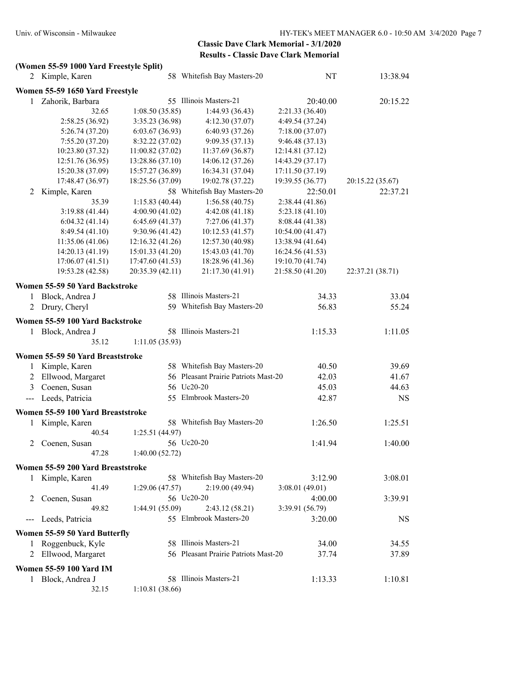#### **(Women 55-59 1000 Yard Freestyle Split)**

| 2            | Kimple, Karen                     |                  | 58 Whitefish Bay Masters-20          | NT               | 13:38.94         |
|--------------|-----------------------------------|------------------|--------------------------------------|------------------|------------------|
|              | Women 55-59 1650 Yard Freestyle   |                  |                                      |                  |                  |
| 1            | Zahorik, Barbara                  |                  | 55 Illinois Masters-21               | 20:40.00         | 20:15.22         |
|              | 32.65                             | 1:08.50(35.85)   | 1:44.93(36.43)                       | 2:21.33 (36.40)  |                  |
|              | 2:58.25(36.92)                    | 3:35.23 (36.98)  | 4:12.30(37.07)                       | 4:49.54 (37.24)  |                  |
|              | 5:26.74(37.20)                    | 6:03.67(36.93)   | 6:40.93(37.26)                       | 7:18.00(37.07)   |                  |
|              | 7:55.20(37.20)                    | 8:32.22 (37.02)  | 9:09.35(37.13)                       | 9:46.48(37.13)   |                  |
|              | 10:23.80 (37.32)                  | 11:00.82(37.02)  | 11:37.69 (36.87)                     | 12:14.81 (37.12) |                  |
|              | 12:51.76 (36.95)                  | 13:28.86 (37.10) | 14:06.12 (37.26)                     | 14:43.29 (37.17) |                  |
|              | 15:20.38 (37.09)                  | 15:57.27 (36.89) | 16:34.31 (37.04)                     | 17:11.50 (37.19) |                  |
|              | 17:48.47 (36.97)                  | 18:25.56 (37.09) | 19:02.78 (37.22)                     | 19:39.55 (36.77) | 20:15.22 (35.67) |
| 2            | Kimple, Karen                     |                  | 58 Whitefish Bay Masters-20          | 22:50.01         | 22:37.21         |
|              | 35.39                             | 1:15.83(40.44)   | 1:56.58(40.75)                       | 2:38.44(41.86)   |                  |
|              | 3:19.88(41.44)                    | 4:00.90(41.02)   | 4:42.08(41.18)                       | 5:23.18(41.10)   |                  |
|              | 6:04.32(41.14)                    | 6:45.69(41.37)   | 7:27.06(41.37)                       | 8:08.44(41.38)   |                  |
|              | 8:49.54(41.10)                    | 9:30.96(41.42)   | 10:12.53(41.57)                      | 10:54.00 (41.47) |                  |
|              | 11:35.06(41.06)                   | 12:16.32(41.26)  | 12:57.30 (40.98)                     | 13:38.94 (41.64) |                  |
|              | 14:20.13 (41.19)                  | 15:01.33 (41.20) | 15:43.03 (41.70)                     | 16:24.56 (41.53) |                  |
|              | 17:06.07(41.51)                   | 17:47.60 (41.53) | 18:28.96 (41.36)                     | 19:10.70 (41.74) |                  |
|              | 19:53.28 (42.58)                  | 20:35.39 (42.11) | 21:17.30 (41.91)                     | 21:58.50 (41.20) | 22:37.21 (38.71) |
|              |                                   |                  |                                      |                  |                  |
|              | Women 55-59 50 Yard Backstroke    |                  | 58 Illinois Masters-21               |                  |                  |
| 1            | Block, Andrea J                   |                  |                                      | 34.33            | 33.04            |
|              | 2 Drury, Cheryl                   |                  | 59 Whitefish Bay Masters-20          | 56.83            | 55.24            |
|              | Women 55-59 100 Yard Backstroke   |                  |                                      |                  |                  |
| $\mathbf{1}$ | Block, Andrea J                   |                  | 58 Illinois Masters-21               | 1:15.33          | 1:11.05          |
|              | 35.12                             | 1:11.05(35.93)   |                                      |                  |                  |
|              | Women 55-59 50 Yard Breaststroke  |                  |                                      |                  |                  |
| 1            | Kimple, Karen                     |                  | 58 Whitefish Bay Masters-20          | 40.50            | 39.69            |
| 2            | Ellwood, Margaret                 |                  | 56 Pleasant Prairie Patriots Mast-20 | 42.03            | 41.67            |
| 3            | Coenen, Susan                     |                  | 56 Uc20-20                           | 45.03            | 44.63            |
| $---$        | Leeds, Patricia                   |                  | 55 Elmbrook Masters-20               | 42.87            | <b>NS</b>        |
|              |                                   |                  |                                      |                  |                  |
|              | Women 55-59 100 Yard Breaststroke |                  |                                      |                  |                  |
| 1            | Kimple, Karen                     |                  | 58 Whitefish Bay Masters-20          | 1:26.50          | 1:25.51          |
|              | 40.54                             | 1:25.51(44.97)   |                                      |                  |                  |
| 2            | Coenen, Susan                     |                  | 56 Uc20-20                           | 1:41.94          | 1:40.00          |
|              | 47.28                             | 1:40.00(52.72)   |                                      |                  |                  |
|              | Women 55-59 200 Yard Breaststroke |                  |                                      |                  |                  |
| 1            | Kimple, Karen                     |                  | 58 Whitefish Bay Masters-20          | 3:12.90          | 3:08.01          |
|              | 41.49                             | 1:29.06 (47.57)  | 2:19.00 (49.94)                      | 3:08.01(49.01)   |                  |
| 2            | Coenen, Susan                     |                  | 56 Uc20-20                           | 4:00.00          | 3:39.91          |
|              | 49.82                             | 1:44.91 (55.09)  | 2:43.12(58.21)                       | 3:39.91 (56.79)  |                  |
| $---$        | Leeds, Patricia                   |                  | 55 Elmbrook Masters-20               | 3:20.00          | NS               |
|              |                                   |                  |                                      |                  |                  |
|              | Women 55-59 50 Yard Butterfly     |                  |                                      |                  |                  |
|              | 1 Roggenbuck, Kyle                |                  | 58 Illinois Masters-21               | 34.00            | 34.55            |
| 2            | Ellwood, Margaret                 |                  | 56 Pleasant Prairie Patriots Mast-20 | 37.74            | 37.89            |
|              | <b>Women 55-59 100 Yard IM</b>    |                  |                                      |                  |                  |
|              | 1 Block, Andrea J                 |                  | 58 Illinois Masters-21               | 1:13.33          | 1:10.81          |
|              | 32.15                             | 1:10.81(38.66)   |                                      |                  |                  |
|              |                                   |                  |                                      |                  |                  |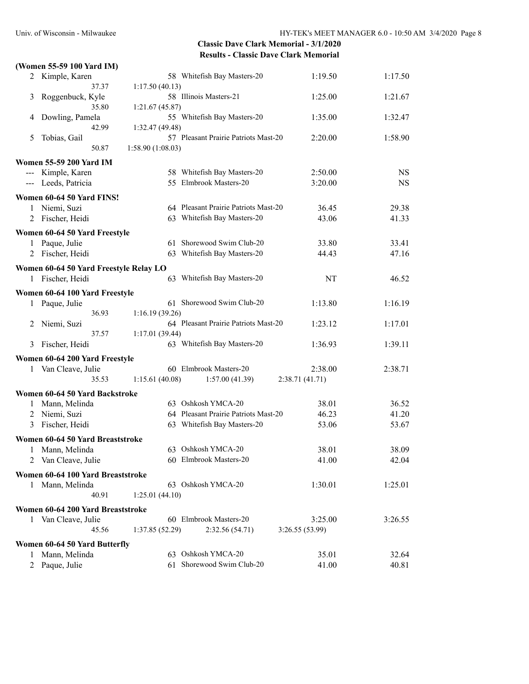|   | (Women 55-59 100 Yard IM)              |                                      |                 |                |
|---|----------------------------------------|--------------------------------------|-----------------|----------------|
|   | 2 Kimple, Karen                        | 58 Whitefish Bay Masters-20          | 1:19.50         | 1:17.50        |
|   | 37.37                                  | 1:17.50(40.13)                       |                 |                |
| 3 | Roggenbuck, Kyle                       | 58 Illinois Masters-21               | 1:25.00         | 1:21.67        |
|   | 35.80                                  | 1:21.67(45.87)                       |                 |                |
| 4 | Dowling, Pamela                        | 55 Whitefish Bay Masters-20          | 1:35.00         | 1:32.47        |
|   | 42.99                                  | 1:32.47(49.48)                       |                 |                |
| 5 | Tobias, Gail                           | 57 Pleasant Prairie Patriots Mast-20 | 2:20.00         | 1:58.90        |
|   | 50.87                                  | 1:58.90(1:08.03)                     |                 |                |
|   | <b>Women 55-59 200 Yard IM</b>         |                                      |                 |                |
|   | --- Kimple, Karen                      | 58 Whitefish Bay Masters-20          | 2:50.00         | <b>NS</b>      |
|   | --- Leeds, Patricia                    | 55 Elmbrook Masters-20               | 3:20.00         | <b>NS</b>      |
|   | Women 60-64 50 Yard FINS!              |                                      |                 |                |
|   | 1 Niemi, Suzi                          | 64 Pleasant Prairie Patriots Mast-20 | 36.45           | 29.38          |
|   | 2 Fischer, Heidi                       | 63 Whitefish Bay Masters-20          | 43.06           | 41.33          |
|   |                                        |                                      |                 |                |
|   | Women 60-64 50 Yard Freestyle          | 61 Shorewood Swim Club-20            |                 |                |
| 1 | Paque, Julie<br>2 Fischer, Heidi       | 63 Whitefish Bay Masters-20          | 33.80<br>44.43  | 33.41<br>47.16 |
|   |                                        |                                      |                 |                |
|   | Women 60-64 50 Yard Freestyle Relay LO |                                      |                 |                |
|   | 1 Fischer, Heidi                       | 63 Whitefish Bay Masters-20          | NT              | 46.52          |
|   | Women 60-64 100 Yard Freestyle         |                                      |                 |                |
| 1 | Paque, Julie                           | 61 Shorewood Swim Club-20            | 1:13.80         | 1:16.19        |
|   | 36.93                                  | 1:16.19(39.26)                       |                 |                |
| 2 | Niemi, Suzi                            | 64 Pleasant Prairie Patriots Mast-20 | 1:23.12         | 1:17.01        |
|   | 37.57                                  | 1:17.01(39.44)                       |                 |                |
| 3 | Fischer, Heidi                         | 63 Whitefish Bay Masters-20          | 1:36.93         | 1:39.11        |
|   | Women 60-64 200 Yard Freestyle         |                                      |                 |                |
| 1 | Van Cleave, Julie                      | 60 Elmbrook Masters-20               | 2:38.00         | 2:38.71        |
|   | 35.53                                  | 1:15.61(40.08)<br>1:57.00(41.39)     | 2:38.71 (41.71) |                |
|   | Women 60-64 50 Yard Backstroke         |                                      |                 |                |
| 1 | Mann, Melinda                          | 63 Oshkosh YMCA-20                   | 38.01           | 36.52          |
| 2 | Niemi, Suzi                            | 64 Pleasant Prairie Patriots Mast-20 | 46.23           | 41.20          |
|   | 3 Fischer, Heidi                       | 63 Whitefish Bay Masters-20          | 53.06           | 53.67          |
|   |                                        |                                      |                 |                |
|   | Women 60-64 50 Yard Breaststroke       |                                      |                 |                |
| 1 | Mann, Melinda                          | 63 Oshkosh YMCA-20                   | 38.01           | 38.09          |
| 2 | Van Cleave, Julie                      | 60 Elmbrook Masters-20               | 41.00           | 42.04          |
|   | Women 60-64 100 Yard Breaststroke      |                                      |                 |                |
|   | 1 Mann, Melinda                        | 63 Oshkosh YMCA-20                   | 1:30.01         | 1:25.01        |
|   | 40.91                                  | 1:25.01(44.10)                       |                 |                |
|   | Women 60-64 200 Yard Breaststroke      |                                      |                 |                |
|   | 1 Van Cleave, Julie                    | 60 Elmbrook Masters-20               | 3:25.00         | 3:26.55        |
|   | 45.56                                  | 2:32.56(54.71)<br>1:37.85(52.29)     | 3:26.55(53.99)  |                |
|   | Women 60-64 50 Yard Butterfly          |                                      |                 |                |
| 1 | Mann, Melinda                          | 63 Oshkosh YMCA-20                   | 35.01           | 32.64          |
|   | 2 Paque, Julie                         | 61 Shorewood Swim Club-20            | 41.00           | 40.81          |
|   |                                        |                                      |                 |                |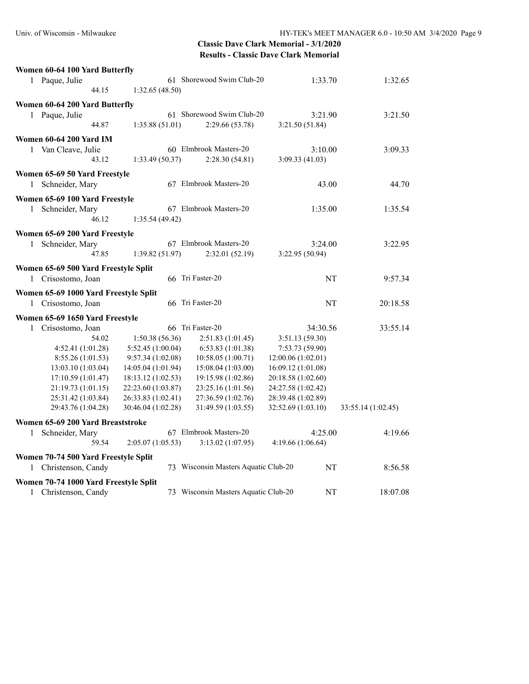| Women 60-64 100 Yard Butterfly                        |                    |                    |                                      |                    |                    |
|-------------------------------------------------------|--------------------|--------------------|--------------------------------------|--------------------|--------------------|
| 1 Paque, Julie                                        |                    |                    | 61 Shorewood Swim Club-20            | 1:33.70            | 1:32.65            |
|                                                       | 44.15              | 1:32.65(48.50)     |                                      |                    |                    |
| Women 60-64 200 Yard Butterfly                        |                    |                    |                                      |                    |                    |
| 1 Paque, Julie                                        |                    |                    | 61 Shorewood Swim Club-20            | 3:21.90            | 3:21.50            |
|                                                       | 44.87              | 1:35.88(51.01)     | 2:29.66(53.78)                       | 3:21.50(51.84)     |                    |
| <b>Women 60-64 200 Yard IM</b>                        |                    |                    |                                      |                    |                    |
| Van Cleave, Julie<br>$\mathbf{1}$                     |                    |                    | 60 Elmbrook Masters-20               | 3:10.00            | 3:09.33            |
|                                                       | 43.12              | 1:33.49 (50.37)    | 2:28.30(54.81)                       | 3:09.33(41.03)     |                    |
|                                                       |                    |                    |                                      |                    |                    |
| Women 65-69 50 Yard Freestyle<br>Schneider, Mary<br>1 |                    |                    | 67 Elmbrook Masters-20               | 43.00              | 44.70              |
|                                                       |                    |                    |                                      |                    |                    |
| Women 65-69 100 Yard Freestyle                        |                    |                    |                                      |                    |                    |
| 1 Schneider, Mary                                     |                    |                    | 67 Elmbrook Masters-20               | 1:35.00            | 1:35.54            |
|                                                       | 46.12              | 1:35.54(49.42)     |                                      |                    |                    |
| Women 65-69 200 Yard Freestyle                        |                    |                    |                                      |                    |                    |
| 1 Schneider, Mary                                     |                    |                    | 67 Elmbrook Masters-20               | 3:24.00            | 3:22.95            |
|                                                       | 47.85              | 1:39.82(51.97)     | 2:32.01(52.19)                       | 3:22.95 (50.94)    |                    |
| Women 65-69 500 Yard Freestyle Split                  |                    |                    |                                      |                    |                    |
| 1 Crisostomo, Joan                                    |                    |                    | 66 Tri Faster-20                     | <b>NT</b>          | 9:57.34            |
| Women 65-69 1000 Yard Freestyle Split                 |                    |                    |                                      |                    |                    |
| 1 Crisostomo, Joan                                    |                    |                    | 66 Tri Faster-20                     | NT                 | 20:18.58           |
| Women 65-69 1650 Yard Freestyle                       |                    |                    |                                      |                    |                    |
| 1 Crisostomo, Joan                                    |                    |                    | 66 Tri Faster-20                     | 34:30.56           | 33:55.14           |
|                                                       | 54.02              | 1:50.38(56.36)     | 2:51.83 (1:01.45)                    | 3:51.13 (59.30)    |                    |
|                                                       | 4:52.41 (1:01.28)  | 5:52.45(1:00.04)   | 6:53.83(1:01.38)                     | 7:53.73(59.90)     |                    |
|                                                       | 8:55.26 (1:01.53)  | 9:57.34 (1:02.08)  | 10:58.05 (1:00.71)                   | 12:00.06 (1:02.01) |                    |
|                                                       | 13:03.10 (1:03.04) | 14:05.04 (1:01.94) | 15:08.04 (1:03.00)                   | 16:09.12 (1:01.08) |                    |
|                                                       | 17:10.59(1:01.47)  | 18:13.12 (1:02.53) | 19:15.98 (1:02.86)                   | 20:18.58 (1:02.60) |                    |
|                                                       | 21:19.73 (1:01.15) | 22:23.60 (1:03.87) | 23:25.16 (1:01.56)                   | 24:27.58 (1:02.42) |                    |
|                                                       | 25:31.42 (1:03.84) | 26:33.83 (1:02.41) | 27:36.59 (1:02.76)                   | 28:39.48 (1:02.89) |                    |
|                                                       | 29:43.76 (1:04.28) | 30:46.04 (1:02.28) | 31:49.59 (1:03.55)                   | 32:52.69 (1:03.10) | 33:55.14 (1:02.45) |
| Women 65-69 200 Yard Breaststroke                     |                    |                    |                                      |                    |                    |
| Schneider, Mary<br>1                                  |                    |                    | 67 Elmbrook Masters-20               | 4:25.00            | 4:19.66            |
|                                                       | 59.54              | 2:05.07(1:05.53)   | 3:13.02 (1:07.95)                    | 4:19.66 (1:06.64)  |                    |
| Women 70-74 500 Yard Freestyle Split                  |                    |                    |                                      |                    |                    |
| Christenson, Candy<br>1                               |                    |                    | 73 Wisconsin Masters Aquatic Club-20 | NT                 | 8:56.58            |
| Women 70-74 1000 Yard Freestyle Split                 |                    |                    |                                      |                    |                    |
| Christenson, Candy<br>1                               |                    |                    | 73 Wisconsin Masters Aquatic Club-20 | NT                 | 18:07.08           |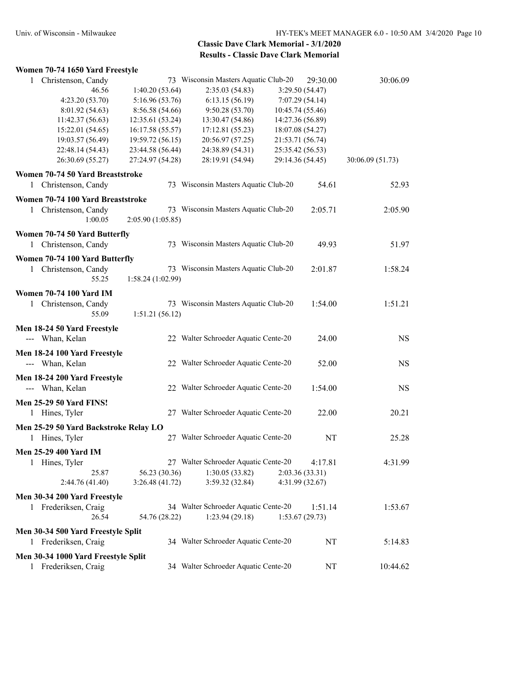| Women 70-74 1650 Yard Freestyle       |                  |                                      |                  |                  |
|---------------------------------------|------------------|--------------------------------------|------------------|------------------|
| 1 Christenson, Candy                  |                  | 73 Wisconsin Masters Aquatic Club-20 | 29:30.00         | 30:06.09         |
| 46.56                                 | 1:40.20(53.64)   | 2:35.03(54.83)                       | 3:29.50 (54.47)  |                  |
| 4:23.20 (53.70)                       | 5:16.96(53.76)   | 6:13.15(56.19)                       | 7:07.29 (54.14)  |                  |
| 8:01.92 (54.63)                       | 8:56.58 (54.66)  | 9:50.28(53.70)                       | 10:45.74 (55.46) |                  |
| 11:42.37(56.63)                       | 12:35.61 (53.24) | 13:30.47 (54.86)                     | 14:27.36 (56.89) |                  |
| 15:22.01 (54.65)                      | 16:17.58 (55.57) | 17:12.81 (55.23)                     | 18:07.08 (54.27) |                  |
| 19:03.57 (56.49)                      | 19:59.72 (56.15) | 20:56.97 (57.25)                     | 21:53.71 (56.74) |                  |
| 22:48.14 (54.43)                      | 23:44.58 (56.44) | 24:38.89 (54.31)                     | 25:35.42 (56.53) |                  |
| 26:30.69 (55.27)                      | 27:24.97 (54.28) | 28:19.91 (54.94)                     | 29:14.36 (54.45) | 30:06.09 (51.73) |
| Women 70-74 50 Yard Breaststroke      |                  |                                      |                  |                  |
|                                       |                  | 73 Wisconsin Masters Aquatic Club-20 | 54.61            |                  |
| 1 Christenson, Candy                  |                  |                                      |                  | 52.93            |
| Women 70-74 100 Yard Breaststroke     |                  |                                      |                  |                  |
| 1 Christenson, Candy                  |                  | 73 Wisconsin Masters Aquatic Club-20 | 2:05.71          | 2:05.90          |
| 1:00.05                               | 2:05.90(1:05.85) |                                      |                  |                  |
| Women 70-74 50 Yard Butterfly         |                  |                                      |                  |                  |
| 1 Christenson, Candy                  |                  | 73 Wisconsin Masters Aquatic Club-20 | 49.93            | 51.97            |
| Women 70-74 100 Yard Butterfly        |                  |                                      |                  |                  |
| Christenson, Candy<br>1               |                  | 73 Wisconsin Masters Aquatic Club-20 | 2:01.87          | 1:58.24          |
| 55.25                                 | 1:58.24(1:02.99) |                                      |                  |                  |
|                                       |                  |                                      |                  |                  |
| <b>Women 70-74 100 Yard IM</b>        |                  |                                      |                  |                  |
| 1 Christenson, Candy                  |                  | 73 Wisconsin Masters Aquatic Club-20 | 1:54.00          | 1:51.21          |
| 55.09                                 | 1:51.21(56.12)   |                                      |                  |                  |
| Men 18-24 50 Yard Freestyle           |                  |                                      |                  |                  |
| --- Whan, Kelan                       |                  | 22 Walter Schroeder Aquatic Cente-20 | 24.00            | <b>NS</b>        |
|                                       |                  |                                      |                  |                  |
| Men 18-24 100 Yard Freestyle          |                  |                                      |                  |                  |
| --- Whan, Kelan                       |                  | 22 Walter Schroeder Aquatic Cente-20 | 52.00            | <b>NS</b>        |
| Men 18-24 200 Yard Freestyle          |                  |                                      |                  |                  |
| --- Whan, Kelan                       |                  | 22 Walter Schroeder Aquatic Cente-20 | 1:54.00          | <b>NS</b>        |
|                                       |                  |                                      |                  |                  |
| <b>Men 25-29 50 Yard FINS!</b>        |                  |                                      |                  |                  |
| 1 Hines, Tyler                        |                  | 27 Walter Schroeder Aquatic Cente-20 | 22.00            | 20.21            |
| Men 25-29 50 Yard Backstroke Relay LO |                  |                                      |                  |                  |
| 1 Hines, Tyler                        |                  | 27 Walter Schroeder Aquatic Cente-20 | NT               | 25.28            |
|                                       |                  |                                      |                  |                  |
| Men 25-29 400 Yard IM                 |                  |                                      |                  |                  |
| 1 Hines, Tyler                        |                  | 27 Walter Schroeder Aquatic Cente-20 | 4:17.81          | 4:31.99          |
| 25.87                                 | 56.23 (30.36)    | 1:30.05(33.82)                       | 2:03.36 (33.31)  |                  |
| 2:44.76 (41.40)                       | 3:26.48(41.72)   | 3:59.32 (32.84)                      | 4:31.99 (32.67)  |                  |
| Men 30-34 200 Yard Freestyle          |                  |                                      |                  |                  |
| 1 Frederiksen, Craig                  |                  | 34 Walter Schroeder Aquatic Cente-20 | 1:51.14          | 1:53.67          |
| 26.54                                 | 54.76 (28.22)    | 1:23.94(29.18)                       | 1:53.67(29.73)   |                  |
|                                       |                  |                                      |                  |                  |
| Men 30-34 500 Yard Freestyle Split    |                  |                                      |                  |                  |
| 1 Frederiksen, Craig                  |                  | 34 Walter Schroeder Aquatic Cente-20 | NT               | 5:14.83          |
| Men 30-34 1000 Yard Freestyle Split   |                  |                                      |                  |                  |
| 1 Frederiksen, Craig                  |                  | 34 Walter Schroeder Aquatic Cente-20 | NT               | 10:44.62         |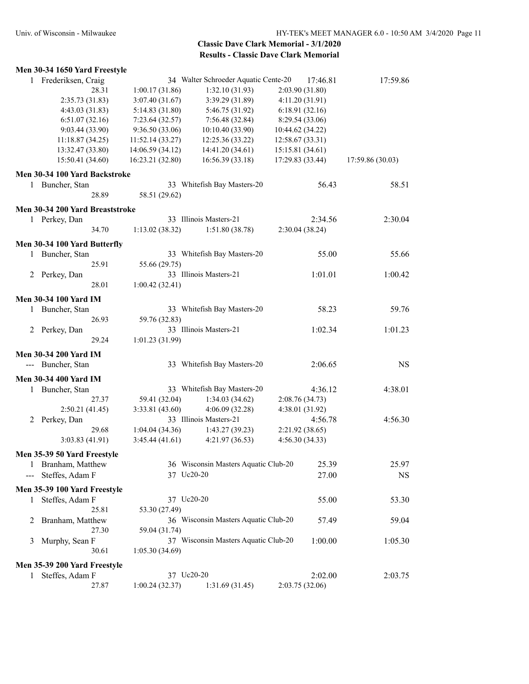|       | Men 30-34 1650 Yard Freestyle   |       |                  |                                      |                  |                  |
|-------|---------------------------------|-------|------------------|--------------------------------------|------------------|------------------|
|       | 1 Frederiksen, Craig            |       |                  | 34 Walter Schroeder Aquatic Cente-20 | 17:46.81         | 17:59.86         |
|       |                                 | 28.31 | 1:00.17(31.86)   | 1:32.10 (31.93)                      | 2:03.90 (31.80)  |                  |
|       | 2:35.73(31.83)                  |       | 3:07.40 (31.67)  | 3:39.29 (31.89)                      | 4:11.20(31.91)   |                  |
|       | 4:43.03 (31.83)                 |       | 5:14.83 (31.80)  | 5:46.75 (31.92)                      | 6:18.91(32.16)   |                  |
|       | 6:51.07(32.16)                  |       | 7:23.64(32.57)   | 7:56.48(32.84)                       | 8:29.54 (33.06)  |                  |
|       | 9:03.44 (33.90)                 |       | 9:36.50(33.06)   | 10:10.40 (33.90)                     | 10:44.62 (34.22) |                  |
|       | 11:18.87 (34.25)                |       | 11:52.14 (33.27) | 12:25.36 (33.22)                     | 12:58.67 (33.31) |                  |
|       | 13:32.47 (33.80)                |       | 14:06.59 (34.12) | 14:41.20 (34.61)                     | 15:15.81 (34.61) |                  |
|       | 15:50.41 (34.60)                |       | 16:23.21 (32.80) | 16:56.39 (33.18)                     | 17:29.83 (33.44) | 17:59.86 (30.03) |
|       | Men 30-34 100 Yard Backstroke   |       |                  |                                      |                  |                  |
|       | 1 Buncher, Stan                 |       |                  | 33 Whitefish Bay Masters-20          | 56.43            | 58.51            |
|       |                                 | 28.89 | 58.51 (29.62)    |                                      |                  |                  |
|       | Men 30-34 200 Yard Breaststroke |       |                  |                                      |                  |                  |
|       | 1 Perkey, Dan                   |       |                  | 33 Illinois Masters-21               | 2:34.56          | 2:30.04          |
|       |                                 | 34.70 | 1:13.02(38.32)   | 1:51.80(38.78)                       | 2:30.04(38.24)   |                  |
|       | Men 30-34 100 Yard Butterfly    |       |                  |                                      |                  |                  |
|       | 1 Buncher, Stan                 |       |                  | 33 Whitefish Bay Masters-20          | 55.00            | 55.66            |
|       |                                 | 25.91 | 55.66 (29.75)    |                                      |                  |                  |
|       | 2 Perkey, Dan                   |       |                  | 33 Illinois Masters-21               | 1:01.01          | 1:00.42          |
|       |                                 | 28.01 | 1:00.42(32.41)   |                                      |                  |                  |
|       |                                 |       |                  |                                      |                  |                  |
|       | <b>Men 30-34 100 Yard IM</b>    |       |                  |                                      |                  |                  |
|       | 1 Buncher, Stan                 |       |                  | 33 Whitefish Bay Masters-20          | 58.23            | 59.76            |
|       |                                 | 26.93 | 59.76 (32.83)    |                                      |                  |                  |
|       | 2 Perkey, Dan                   |       |                  | 33 Illinois Masters-21               | 1:02.34          | 1:01.23          |
|       |                                 | 29.24 | 1:01.23(31.99)   |                                      |                  |                  |
|       | <b>Men 30-34 200 Yard IM</b>    |       |                  |                                      |                  |                  |
|       | --- Buncher, Stan               |       |                  | 33 Whitefish Bay Masters-20          | 2:06.65          | <b>NS</b>        |
|       | <b>Men 30-34 400 Yard IM</b>    |       |                  |                                      |                  |                  |
|       | 1 Buncher, Stan                 |       |                  | 33 Whitefish Bay Masters-20          | 4:36.12          | 4:38.01          |
|       |                                 | 27.37 | 59.41 (32.04)    | 1:34.03(34.62)                       | 2:08.76(34.73)   |                  |
|       | 2:50.21(41.45)                  |       | 3:33.81 (43.60)  | 4:06.09(32.28)                       | 4:38.01 (31.92)  |                  |
|       | 2 Perkey, Dan                   |       |                  | 33 Illinois Masters-21               | 4:56.78          | 4:56.30          |
|       |                                 | 29.68 | 1:04.04(34.36)   | 1:43.27(39.23)                       | 2:21.92(38.65)   |                  |
|       | 3:03.83(41.91)                  |       | 3:45.44(41.61)   | 4:21.97(36.53)                       | 4:56.30(34.33)   |                  |
|       | Men 35-39 50 Yard Freestyle     |       |                  |                                      |                  |                  |
|       | 1 Branham, Matthew              |       |                  | 36 Wisconsin Masters Aquatic Club-20 | 25.39            | 25.97            |
| $---$ | Steffes, Adam F                 |       | 37 Uc20-20       |                                      | 27.00            | <b>NS</b>        |
|       |                                 |       |                  |                                      |                  |                  |
|       | Men 35-39 100 Yard Freestyle    |       |                  |                                      |                  |                  |
|       | 1 Steffes, Adam F               |       | 37 Uc20-20       |                                      | 55.00            | 53.30            |
|       |                                 | 25.81 | 53.30 (27.49)    |                                      |                  |                  |
| 2     | Branham, Matthew                |       |                  | 36 Wisconsin Masters Aquatic Club-20 | 57.49            | 59.04            |
|       |                                 | 27.30 | 59.04 (31.74)    |                                      |                  |                  |
| 3     | Murphy, Sean F                  |       |                  | 37 Wisconsin Masters Aquatic Club-20 | 1:00.00          | 1:05.30          |
|       |                                 | 30.61 | 1:05.30(34.69)   |                                      |                  |                  |
|       | Men 35-39 200 Yard Freestyle    |       |                  |                                      |                  |                  |
|       | 1 Steffes, Adam F               |       | 37 Uc20-20       |                                      | 2:02.00          | 2:03.75          |
|       |                                 | 27.87 | 1:00.24(32.37)   | 1:31.69(31.45)                       | 2:03.75(32.06)   |                  |
|       |                                 |       |                  |                                      |                  |                  |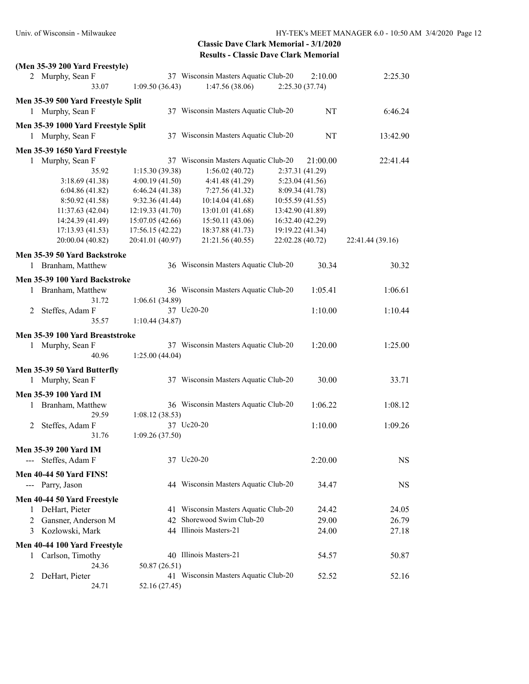| (Men 35-39 200 Yard Freestyle)         |                  |                                                         |                           |                  |
|----------------------------------------|------------------|---------------------------------------------------------|---------------------------|------------------|
| 2 Murphy, Sean F<br>33.07              | 1:09.50(36.43)   | 37 Wisconsin Masters Aquatic Club-20<br>1:47.56 (38.06) | 2:10.00<br>2:25.30(37.74) | 2:25.30          |
| Men 35-39 500 Yard Freestyle Split     |                  |                                                         |                           |                  |
| 1 Murphy, Sean F                       |                  | 37 Wisconsin Masters Aquatic Club-20                    | NT                        | 6:46.24          |
| Men 35-39 1000 Yard Freestyle Split    |                  |                                                         |                           |                  |
| 1 Murphy, Sean F                       |                  | 37 Wisconsin Masters Aquatic Club-20                    | NT                        | 13:42.90         |
| Men 35-39 1650 Yard Freestyle          |                  |                                                         |                           |                  |
| 1 Murphy, Sean F                       |                  | 37 Wisconsin Masters Aquatic Club-20                    | 21:00.00                  | 22:41.44         |
| 35.92                                  | 1:15.30(39.38)   | 1:56.02(40.72)                                          | 2:37.31 (41.29)           |                  |
| 3:18.69(41.38)                         | 4:00.19(41.50)   | 4:41.48 (41.29)                                         | 5:23.04 (41.56)           |                  |
| 6:04.86(41.82)                         | 6:46.24(41.38)   | 7:27.56 (41.32)                                         | 8:09.34 (41.78)           |                  |
| 8:50.92 (41.58)                        | 9:32.36(41.44)   | 10:14.04 (41.68)                                        | 10:55.59 (41.55)          |                  |
| 11:37.63 (42.04)                       | 12:19.33 (41.70) | 13:01.01 (41.68)                                        | 13:42.90 (41.89)          |                  |
| 14:24.39 (41.49)                       | 15:07.05 (42.66) | 15:50.11 (43.06)                                        | 16:32.40 (42.29)          |                  |
| 17:13.93 (41.53)                       | 17:56.15 (42.22) | 18:37.88 (41.73)                                        | 19:19.22 (41.34)          |                  |
|                                        | 20:41.01 (40.97) |                                                         | 22:02.28 (40.72)          |                  |
| 20:00.04 (40.82)                       |                  | 21:21.56 (40.55)                                        |                           | 22:41.44 (39.16) |
| Men 35-39 50 Yard Backstroke           |                  |                                                         |                           |                  |
| 1 Branham, Matthew                     |                  | 36 Wisconsin Masters Aquatic Club-20                    | 30.34                     | 30.32            |
| Men 35-39 100 Yard Backstroke          |                  |                                                         |                           |                  |
| 1 Branham, Matthew                     |                  | 36 Wisconsin Masters Aquatic Club-20                    | 1:05.41                   | 1:06.61          |
| 31.72                                  | 1:06.61(34.89)   |                                                         |                           |                  |
| Steffes, Adam F<br>2                   |                  | 37 Uc20-20                                              | 1:10.00                   | 1:10.44          |
| 35.57                                  | 1:10.44(34.87)   |                                                         |                           |                  |
| Men 35-39 100 Yard Breaststroke        |                  |                                                         |                           |                  |
| 1 Murphy, Sean F                       |                  | 37 Wisconsin Masters Aquatic Club-20                    | 1:20.00                   | 1:25.00          |
| 40.96                                  |                  |                                                         |                           |                  |
|                                        | 1:25.00(44.04)   |                                                         |                           |                  |
| Men 35-39 50 Yard Butterfly            |                  |                                                         |                           |                  |
| 1 Murphy, Sean F                       |                  | 37 Wisconsin Masters Aquatic Club-20                    | 30.00                     | 33.71            |
| Men 35-39 100 Yard IM                  |                  |                                                         |                           |                  |
| Branham, Matthew<br>1                  |                  | 36 Wisconsin Masters Aquatic Club-20                    | 1:06.22                   | 1:08.12          |
| 29.59                                  | 1:08.12(38.53)   |                                                         |                           |                  |
|                                        |                  | 37 Uc20-20                                              |                           |                  |
| Steffes, Adam F<br>2                   |                  |                                                         | 1:10.00                   | 1:09.26          |
| 31.76                                  | 1:09.26(37.50)   |                                                         |                           |                  |
| Men 35-39 200 Yard IM                  |                  |                                                         |                           |                  |
| Steffes, Adam F<br>$\qquad \qquad - -$ |                  | 37 Uc20-20                                              | 2:20.00                   | <b>NS</b>        |
| <b>Men 40-44 50 Yard FINS!</b>         |                  |                                                         |                           |                  |
|                                        |                  | 44 Wisconsin Masters Aquatic Club-20                    |                           |                  |
| --- Parry, Jason                       |                  |                                                         | 34.47                     | <b>NS</b>        |
| Men 40-44 50 Yard Freestyle            |                  |                                                         |                           |                  |
| 1 DeHart, Pieter                       |                  | 41 Wisconsin Masters Aquatic Club-20                    | 24.42                     | 24.05            |
| Gansner, Anderson M<br>2               | 42               | Shorewood Swim Club-20                                  | 29.00                     | 26.79            |
| Kozlowski, Mark<br>3                   |                  | 44 Illinois Masters-21                                  | 24.00                     | 27.18            |
| Men 40-44 100 Yard Freestyle           |                  |                                                         |                           |                  |
| Carlson, Timothy<br>1                  |                  | 40 Illinois Masters-21                                  | 54.57                     | 50.87            |
| 24.36                                  | 50.87 (26.51)    |                                                         |                           |                  |
|                                        |                  |                                                         |                           |                  |
| DeHart, Pieter<br>2                    |                  | 41 Wisconsin Masters Aquatic Club-20                    | 52.52                     | 52.16            |
| 24.71                                  | 52.16 (27.45)    |                                                         |                           |                  |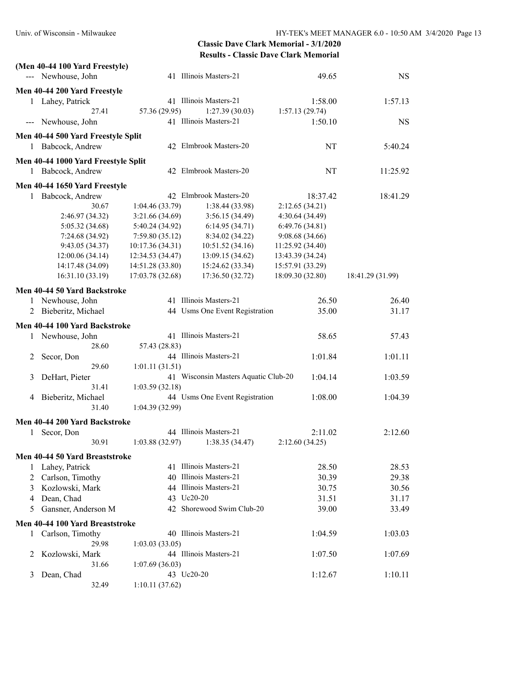|   | (Men 40-44 100 Yard Freestyle)      |       |                  |                                      |                  |                  |
|---|-------------------------------------|-------|------------------|--------------------------------------|------------------|------------------|
|   | --- Newhouse, John                  |       |                  | 41 Illinois Masters-21               | 49.65            | <b>NS</b>        |
|   | Men 40-44 200 Yard Freestyle        |       |                  |                                      |                  |                  |
|   | 1 Lahey, Patrick                    |       |                  | 41 Illinois Masters-21               | 1:58.00          | 1:57.13          |
|   |                                     | 27.41 | 57.36 (29.95)    | 1:27.39(30.03)                       | 1:57.13(29.74)   |                  |
|   | --- Newhouse, John                  |       |                  | 41 Illinois Masters-21               | 1:50.10          | <b>NS</b>        |
|   |                                     |       |                  |                                      |                  |                  |
|   | Men 40-44 500 Yard Freestyle Split  |       |                  |                                      |                  |                  |
|   | 1 Babcock, Andrew                   |       |                  | 42 Elmbrook Masters-20               | NT               | 5:40.24          |
|   | Men 40-44 1000 Yard Freestyle Split |       |                  |                                      |                  |                  |
|   | 1 Babcock, Andrew                   |       |                  | 42 Elmbrook Masters-20               | NT               | 11:25.92         |
|   | Men 40-44 1650 Yard Freestyle       |       |                  |                                      |                  |                  |
| 1 | Babcock, Andrew                     |       |                  | 42 Elmbrook Masters-20               | 18:37.42         | 18:41.29         |
|   |                                     | 30.67 | 1:04.46(33.79)   | 1:38.44 (33.98)                      | 2:12.65(34.21)   |                  |
|   | 2:46.97 (34.32)                     |       | 3:21.66(34.69)   | 3:56.15(34.49)                       | 4:30.64 (34.49)  |                  |
|   | 5:05.32 (34.68)                     |       | 5:40.24 (34.92)  | 6:14.95(34.71)                       | 6:49.76(34.81)   |                  |
|   | 7:24.68 (34.92)                     |       | 7:59.80(35.12)   | 8:34.02 (34.22)                      | 9:08.68 (34.66)  |                  |
|   | 9:43.05 (34.37)                     |       | 10:17.36 (34.31) | 10:51.52 (34.16)                     | 11:25.92 (34.40) |                  |
|   | 12:00.06 (34.14)                    |       | 12:34.53 (34.47) | 13:09.15 (34.62)                     | 13:43.39 (34.24) |                  |
|   | 14:17.48 (34.09)                    |       | 14:51.28 (33.80) | 15:24.62 (33.34)                     | 15:57.91 (33.29) |                  |
|   | 16:31.10 (33.19)                    |       | 17:03.78 (32.68) | 17:36.50 (32.72)                     | 18:09.30 (32.80) | 18:41.29 (31.99) |
|   | Men 40-44 50 Yard Backstroke        |       |                  |                                      |                  |                  |
|   | 1 Newhouse, John                    |       |                  | 41 Illinois Masters-21               | 26.50            | 26.40            |
|   | 2 Bieberitz, Michael                |       |                  | 44 Usms One Event Registration       | 35.00            | 31.17            |
|   |                                     |       |                  |                                      |                  |                  |
|   | Men 40-44 100 Yard Backstroke       |       |                  |                                      |                  |                  |
|   | 1 Newhouse, John                    |       |                  | 41 Illinois Masters-21               | 58.65            | 57.43            |
|   |                                     | 28.60 | 57.43 (28.83)    |                                      |                  |                  |
| 2 | Secor, Don                          |       |                  | 44 Illinois Masters-21               | 1:01.84          | 1:01.11          |
|   |                                     | 29.60 | 1:01.11(31.51)   |                                      |                  |                  |
| 3 | DeHart, Pieter                      |       |                  | 41 Wisconsin Masters Aquatic Club-20 | 1:04.14          | 1:03.59          |
|   |                                     | 31.41 | 1:03.59(32.18)   |                                      |                  |                  |
| 4 | Bieberitz, Michael                  |       |                  | 44 Usms One Event Registration       | 1:08.00          | 1:04.39          |
|   |                                     | 31.40 | 1:04.39 (32.99)  |                                      |                  |                  |
|   | Men 40-44 200 Yard Backstroke       |       |                  |                                      |                  |                  |
| 1 | Secor, Don                          |       |                  | 44 Illinois Masters-21               | 2:11.02          | 2:12.60          |
|   |                                     | 30.91 | 1:03.88(32.97)   | 1:38.35(34.47)                       | 2:12.60(34.25)   |                  |
|   | Men 40-44 50 Yard Breaststroke      |       |                  |                                      |                  |                  |
| 1 | Lahey, Patrick                      |       |                  | 41 Illinois Masters-21               | 28.50            | 28.53            |
| 2 | Carlson, Timothy                    |       |                  | 40 Illinois Masters-21               | 30.39            | 29.38            |
| 3 | Kozlowski, Mark                     |       |                  | 44 Illinois Masters-21               | 30.75            | 30.56            |
| 4 | Dean, Chad                          |       |                  | 43 Uc20-20                           | 31.51            | 31.17            |
| 5 | Gansner, Anderson M                 |       |                  | 42 Shorewood Swim Club-20            | 39.00            | 33.49            |
|   | Men 40-44 100 Yard Breaststroke     |       |                  |                                      |                  |                  |
|   |                                     |       |                  | 40 Illinois Masters-21               | 1:04.59          | 1:03.03          |
| 1 | Carlson, Timothy                    | 29.98 | 1:03.03(33.05)   |                                      |                  |                  |
| 2 | Kozlowski, Mark                     |       |                  | 44 Illinois Masters-21               | 1:07.50          | 1:07.69          |
|   |                                     | 31.66 | 1:07.69(36.03)   |                                      |                  |                  |
| 3 | Dean, Chad                          |       |                  | 43 Uc20-20                           | 1:12.67          | 1:10.11          |
|   |                                     | 32.49 | 1:10.11(37.62)   |                                      |                  |                  |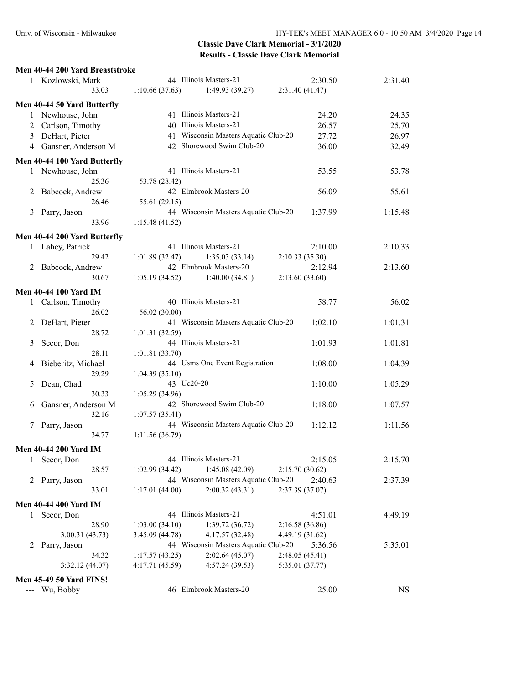#### **Men 40-44 200 Yard Breaststroke**

| 1            | Kozlowski, Mark                |                 | 44 Illinois Masters-21               | 2:30.50         | 2:31.40   |
|--------------|--------------------------------|-----------------|--------------------------------------|-----------------|-----------|
|              | 33.03                          | 1:10.66(37.63)  | 1:49.93(39.27)                       | 2:31.40 (41.47) |           |
|              | Men 40-44 50 Yard Butterfly    |                 |                                      |                 |           |
|              | 1 Newhouse, John               |                 | 41 Illinois Masters-21               | 24.20           | 24.35     |
|              | 2 Carlson, Timothy             |                 | 40 Illinois Masters-21               | 26.57           | 25.70     |
| 3            | DeHart, Pieter                 |                 | 41 Wisconsin Masters Aquatic Club-20 | 27.72           | 26.97     |
|              | 4 Gansner, Anderson M          |                 | 42 Shorewood Swim Club-20            | 36.00           | 32.49     |
|              |                                |                 |                                      |                 |           |
|              | Men 40-44 100 Yard Butterfly   |                 |                                      |                 |           |
|              | 1 Newhouse, John               |                 | 41 Illinois Masters-21               | 53.55           | 53.78     |
|              | 25.36                          | 53.78 (28.42)   |                                      |                 |           |
| 2            | Babcock, Andrew                |                 | 42 Elmbrook Masters-20               | 56.09           | 55.61     |
|              | 26.46                          | 55.61 (29.15)   |                                      |                 |           |
| 3            | Parry, Jason                   |                 | 44 Wisconsin Masters Aquatic Club-20 | 1:37.99         | 1:15.48   |
|              | 33.96                          | 1:15.48(41.52)  |                                      |                 |           |
|              | Men 40-44 200 Yard Butterfly   |                 |                                      |                 |           |
|              | 1 Lahey, Patrick               |                 | 41 Illinois Masters-21               | 2:10.00         | 2:10.33   |
|              | 29.42                          | 1:01.89(32.47)  | 1:35.03(33.14)                       | 2:10.33(35.30)  |           |
|              | 2 Babcock, Andrew              |                 | 42 Elmbrook Masters-20               | 2:12.94         | 2:13.60   |
|              | 30.67                          | 1:05.19(34.52)  | 1:40.00(34.81)                       | 2:13.60(33.60)  |           |
|              | Men 40-44 100 Yard IM          |                 |                                      |                 |           |
|              | 1 Carlson, Timothy             |                 | 40 Illinois Masters-21               | 58.77           | 56.02     |
|              | 26.02                          | 56.02 (30.00)   |                                      |                 |           |
|              | DeHart, Pieter                 |                 | 41 Wisconsin Masters Aquatic Club-20 | 1:02.10         | 1:01.31   |
| 2            | 28.72                          | 1:01.31(32.59)  |                                      |                 |           |
| 3            | Secor, Don                     |                 | 44 Illinois Masters-21               | 1:01.93         | 1:01.81   |
|              | 28.11                          | 1:01.81 (33.70) |                                      |                 |           |
| 4            | Bieberitz, Michael             |                 | 44 Usms One Event Registration       | 1:08.00         | 1:04.39   |
|              | 29.29                          | 1:04.39(35.10)  |                                      |                 |           |
|              | Dean, Chad                     | 43 Uc20-20      |                                      | 1:10.00         | 1:05.29   |
| 5            | 30.33                          | 1:05.29(34.96)  |                                      |                 |           |
|              |                                |                 | 42 Shorewood Swim Club-20            | 1:18.00         | 1:07.57   |
| 6            | Gansner, Anderson M<br>32.16   | 1:07.57(35.41)  |                                      |                 |           |
|              | Parry, Jason                   |                 | 44 Wisconsin Masters Aquatic Club-20 | 1:12.12         | 1:11.56   |
| 7            | 34.77                          | 1:11.56(36.79)  |                                      |                 |           |
|              |                                |                 |                                      |                 |           |
|              | <b>Men 40-44 200 Yard IM</b>   |                 |                                      |                 |           |
| 1            | Secor, Don                     |                 | 44 Illinois Masters-21               | 2:15.05         | 2:15.70   |
|              | 28.57                          | 1:02.99(34.42)  | 1:45.08(42.09)                       | 2:15.70(30.62)  |           |
|              | 2 Parry, Jason                 |                 | 44 Wisconsin Masters Aquatic Club-20 | 2:40.63         | 2:37.39   |
|              | 33.01                          | 1:17.01(44.00)  | 2:00.32(43.31)                       | 2:37.39 (37.07) |           |
|              | <b>Men 40-44 400 Yard IM</b>   |                 |                                      |                 |           |
| $\mathbf{1}$ | Secor, Don                     |                 | 44 Illinois Masters-21               | 4:51.01         | 4:49.19   |
|              | 28.90                          | 1:03.00(34.10)  | 1:39.72(36.72)                       | 2:16.58 (36.86) |           |
|              | 3:00.31 (43.73)                | 3:45.09 (44.78) | 4:17.57(32.48)                       | 4:49.19 (31.62) |           |
| 2            | Parry, Jason                   |                 | 44 Wisconsin Masters Aquatic Club-20 | 5:36.56         | 5:35.01   |
|              | 34.32                          | 1:17.57(43.25)  | 2:02.64(45.07)                       | 2:48.05(45.41)  |           |
|              | 3:32.12(44.07)                 | 4:17.71(45.59)  | 4:57.24(39.53)                       | 5:35.01 (37.77) |           |
|              |                                |                 |                                      |                 |           |
|              | <b>Men 45-49 50 Yard FINS!</b> |                 |                                      |                 |           |
| $- - -$      | Wu, Bobby                      |                 | 46 Elmbrook Masters-20               | 25.00           | <b>NS</b> |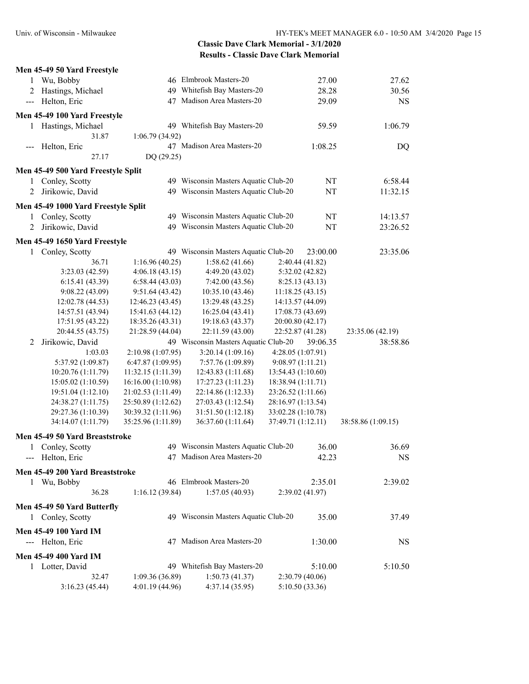|                                                                                                                                                                                                                                                                                                                                                                                              | Men 45-49 50 Yard Freestyle         |                    |                                      |                    |          |                    |
|----------------------------------------------------------------------------------------------------------------------------------------------------------------------------------------------------------------------------------------------------------------------------------------------------------------------------------------------------------------------------------------------|-------------------------------------|--------------------|--------------------------------------|--------------------|----------|--------------------|
| 1                                                                                                                                                                                                                                                                                                                                                                                            | Wu, Bobby                           |                    | 46 Elmbrook Masters-20               |                    | 27.00    | 27.62              |
| 2                                                                                                                                                                                                                                                                                                                                                                                            | Hastings, Michael                   |                    | 49 Whitefish Bay Masters-20          |                    | 28.28    | 30.56              |
| $\frac{1}{2} \frac{1}{2} \frac{1}{2} \frac{1}{2} \frac{1}{2} \frac{1}{2} \frac{1}{2} \frac{1}{2} \frac{1}{2} \frac{1}{2} \frac{1}{2} \frac{1}{2} \frac{1}{2} \frac{1}{2} \frac{1}{2} \frac{1}{2} \frac{1}{2} \frac{1}{2} \frac{1}{2} \frac{1}{2} \frac{1}{2} \frac{1}{2} \frac{1}{2} \frac{1}{2} \frac{1}{2} \frac{1}{2} \frac{1}{2} \frac{1}{2} \frac{1}{2} \frac{1}{2} \frac{1}{2} \frac{$ | Helton, Eric                        | 47                 | Madison Area Masters-20              |                    | 29.09    | <b>NS</b>          |
|                                                                                                                                                                                                                                                                                                                                                                                              | Men 45-49 100 Yard Freestyle        |                    |                                      |                    |          |                    |
|                                                                                                                                                                                                                                                                                                                                                                                              | 1 Hastings, Michael                 |                    | 49 Whitefish Bay Masters-20          |                    | 59.59    | 1:06.79            |
|                                                                                                                                                                                                                                                                                                                                                                                              | 31.87                               | 1:06.79 (34.92)    |                                      |                    |          |                    |
|                                                                                                                                                                                                                                                                                                                                                                                              |                                     |                    | 47 Madison Area Masters-20           |                    | 1:08.25  |                    |
|                                                                                                                                                                                                                                                                                                                                                                                              | --- Helton, Eric<br>27.17           | DQ (29.25)         |                                      |                    |          | DQ                 |
|                                                                                                                                                                                                                                                                                                                                                                                              |                                     |                    |                                      |                    |          |                    |
|                                                                                                                                                                                                                                                                                                                                                                                              | Men 45-49 500 Yard Freestyle Split  |                    |                                      |                    |          |                    |
| 1                                                                                                                                                                                                                                                                                                                                                                                            | Conley, Scotty                      |                    | 49 Wisconsin Masters Aquatic Club-20 |                    | NT       | 6:58.44            |
| 2                                                                                                                                                                                                                                                                                                                                                                                            | Jirikowic, David                    |                    | 49 Wisconsin Masters Aquatic Club-20 |                    | NT       | 11:32.15           |
|                                                                                                                                                                                                                                                                                                                                                                                              | Men 45-49 1000 Yard Freestyle Split |                    |                                      |                    |          |                    |
| 1                                                                                                                                                                                                                                                                                                                                                                                            | Conley, Scotty                      |                    | 49 Wisconsin Masters Aquatic Club-20 |                    | NT       | 14:13.57           |
| 2                                                                                                                                                                                                                                                                                                                                                                                            | Jirikowic, David                    |                    | 49 Wisconsin Masters Aquatic Club-20 |                    | NT       | 23:26.52           |
|                                                                                                                                                                                                                                                                                                                                                                                              | Men 45-49 1650 Yard Freestyle       |                    |                                      |                    |          |                    |
|                                                                                                                                                                                                                                                                                                                                                                                              | 1 Conley, Scotty                    |                    | 49 Wisconsin Masters Aquatic Club-20 |                    | 23:00.00 | 23:35.06           |
|                                                                                                                                                                                                                                                                                                                                                                                              | 36.71                               | 1:16.96(40.25)     | 1:58.62(41.66)                       | 2:40.44(41.82)     |          |                    |
|                                                                                                                                                                                                                                                                                                                                                                                              | 3:23.03 (42.59)                     | 4:06.18(43.15)     | 4:49.20 (43.02)                      | 5:32.02 (42.82)    |          |                    |
|                                                                                                                                                                                                                                                                                                                                                                                              | 6:15.41(43.39)                      | 6:58.44(43.03)     | 7:42.00 (43.56)                      | 8:25.13(43.13)     |          |                    |
|                                                                                                                                                                                                                                                                                                                                                                                              | 9:08.22(43.09)                      | 9:51.64(43.42)     | 10:35.10 (43.46)                     | 11:18.25(43.15)    |          |                    |
|                                                                                                                                                                                                                                                                                                                                                                                              | 12:02.78 (44.53)                    | 12:46.23 (43.45)   | 13:29.48 (43.25)                     | 14:13.57 (44.09)   |          |                    |
|                                                                                                                                                                                                                                                                                                                                                                                              | 14:57.51 (43.94)                    | 15:41.63 (44.12)   | 16:25.04 (43.41)                     | 17:08.73 (43.69)   |          |                    |
|                                                                                                                                                                                                                                                                                                                                                                                              | 17:51.95 (43.22)                    | 18:35.26 (43.31)   | 19:18.63 (43.37)                     | 20:00.80 (42.17)   |          |                    |
|                                                                                                                                                                                                                                                                                                                                                                                              | 20:44.55 (43.75)                    | 21:28.59 (44.04)   | 22:11.59 (43.00)                     | 22:52.87 (41.28)   |          | 23:35.06 (42.19)   |
| 2                                                                                                                                                                                                                                                                                                                                                                                            | Jirikowic, David                    |                    | 49 Wisconsin Masters Aquatic Club-20 |                    | 39:06.35 | 38:58.86           |
|                                                                                                                                                                                                                                                                                                                                                                                              | 1:03.03                             | 2:10.98 (1:07.95)  | 3:20.14(1:09.16)                     | 4:28.05 (1:07.91)  |          |                    |
|                                                                                                                                                                                                                                                                                                                                                                                              | 5:37.92 (1:09.87)                   | 6:47.87 (1:09.95)  | 7:57.76 (1:09.89)                    | 9:08.97(1:11.21)   |          |                    |
|                                                                                                                                                                                                                                                                                                                                                                                              | 10:20.76 (1:11.79)                  | 11:32.15 (1:11.39) | 12:43.83 (1:11.68)                   | 13:54.43 (1:10.60) |          |                    |
|                                                                                                                                                                                                                                                                                                                                                                                              | 15:05.02 (1:10.59)                  | 16:16.00 (1:10.98) | 17:27.23 (1:11.23)                   | 18:38.94 (1:11.71) |          |                    |
|                                                                                                                                                                                                                                                                                                                                                                                              | 19:51.04 (1:12.10)                  | 21:02.53 (1:11.49) | 22:14.86 (1:12.33)                   | 23:26.52 (1:11.66) |          |                    |
|                                                                                                                                                                                                                                                                                                                                                                                              | 24:38.27 (1:11.75)                  | 25:50.89 (1:12.62) | 27:03.43 (1:12.54)                   | 28:16.97 (1:13.54) |          |                    |
|                                                                                                                                                                                                                                                                                                                                                                                              | 29:27.36 (1:10.39)                  | 30:39.32 (1:11.96) | 31:51.50 (1:12.18)                   | 33:02.28 (1:10.78) |          |                    |
|                                                                                                                                                                                                                                                                                                                                                                                              | 34:14.07 (1:11.79)                  | 35:25.96 (1:11.89) | 36:37.60 (1:11.64)                   | 37:49.71 (1:12.11) |          | 38:58.86 (1:09.15) |
|                                                                                                                                                                                                                                                                                                                                                                                              | Men 45-49 50 Yard Breaststroke      |                    |                                      |                    |          |                    |
|                                                                                                                                                                                                                                                                                                                                                                                              |                                     |                    | 49 Wisconsin Masters Aquatic Club-20 |                    |          |                    |
|                                                                                                                                                                                                                                                                                                                                                                                              | 1 Conley, Scotty                    |                    | 47 Madison Area Masters-20           |                    | 36.00    | 36.69              |
|                                                                                                                                                                                                                                                                                                                                                                                              | --- Helton, Eric                    |                    |                                      |                    | 42.23    | <b>NS</b>          |
|                                                                                                                                                                                                                                                                                                                                                                                              | Men 45-49 200 Yard Breaststroke     |                    |                                      |                    |          |                    |
|                                                                                                                                                                                                                                                                                                                                                                                              | 1 Wu, Bobby                         |                    | 46 Elmbrook Masters-20               |                    | 2:35.01  | 2:39.02            |
|                                                                                                                                                                                                                                                                                                                                                                                              | 36.28                               | 1:16.12 (39.84)    | 1:57.05(40.93)                       | 2:39.02(41.97)     |          |                    |
|                                                                                                                                                                                                                                                                                                                                                                                              | Men 45-49 50 Yard Butterfly         |                    |                                      |                    |          |                    |
|                                                                                                                                                                                                                                                                                                                                                                                              | 1 Conley, Scotty                    |                    | 49 Wisconsin Masters Aquatic Club-20 |                    | 35.00    | 37.49              |
|                                                                                                                                                                                                                                                                                                                                                                                              |                                     |                    |                                      |                    |          |                    |
|                                                                                                                                                                                                                                                                                                                                                                                              | <b>Men 45-49 100 Yard IM</b>        |                    |                                      |                    |          |                    |
|                                                                                                                                                                                                                                                                                                                                                                                              | --- Helton, Eric                    |                    | 47 Madison Area Masters-20           |                    | 1:30.00  | NS                 |
|                                                                                                                                                                                                                                                                                                                                                                                              | <b>Men 45-49 400 Yard IM</b>        |                    |                                      |                    |          |                    |
|                                                                                                                                                                                                                                                                                                                                                                                              | 1 Lotter, David                     |                    | 49 Whitefish Bay Masters-20          |                    | 5:10.00  | 5:10.50            |
|                                                                                                                                                                                                                                                                                                                                                                                              | 32.47                               | 1:09.36(36.89)     | 1:50.73(41.37)                       | 2:30.79(40.06)     |          |                    |
|                                                                                                                                                                                                                                                                                                                                                                                              | 3:16.23(45.44)                      | 4:01.19(44.96)     | 4:37.14(35.95)                       | 5:10.50 (33.36)    |          |                    |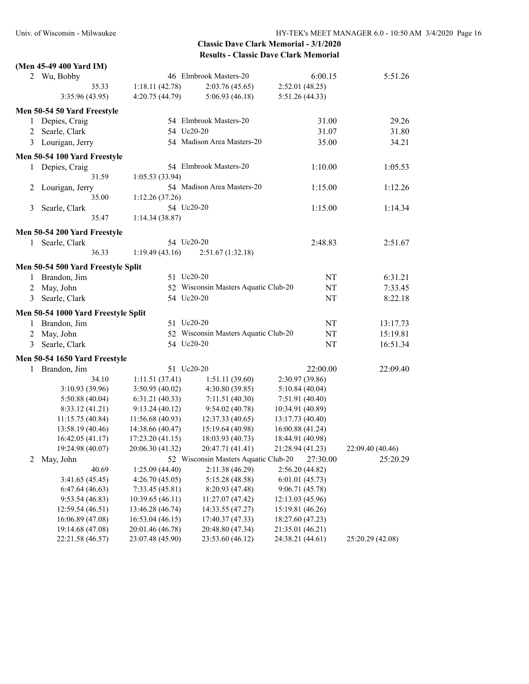|   | (Men 45-49 400 Yard IM)             |                  |                                      |                  |                  |
|---|-------------------------------------|------------------|--------------------------------------|------------------|------------------|
|   | 2 Wu, Bobby                         |                  | 46 Elmbrook Masters-20               | 6:00.15          | 5:51.26          |
|   | 35.33                               | 1:18.11(42.78)   | 2:03.76(45.65)                       | 2:52.01(48.25)   |                  |
|   | 3:35.96 (43.95)                     | 4:20.75 (44.79)  | 5:06.93(46.18)                       | 5:51.26 (44.33)  |                  |
|   | Men 50-54 50 Yard Freestyle         |                  |                                      |                  |                  |
|   | 1 Depies, Craig                     |                  | 54 Elmbrook Masters-20               | 31.00            | 29.26            |
| 2 | Searle, Clark                       |                  | 54 Uc20-20                           | 31.07            | 31.80            |
|   | 3 Lourigan, Jerry                   |                  | 54 Madison Area Masters-20           | 35.00            | 34.21            |
|   |                                     |                  |                                      |                  |                  |
|   | Men 50-54 100 Yard Freestyle        |                  | 54 Elmbrook Masters-20               |                  |                  |
| 1 | Depies, Craig                       |                  |                                      | 1:10.00          | 1:05.53          |
|   | 31.59                               | 1:05.53(33.94)   |                                      |                  |                  |
| 2 | Lourigan, Jerry                     |                  | 54 Madison Area Masters-20           | 1:15.00          | 1:12.26          |
|   | 35.00                               | 1:12.26(37.26)   |                                      |                  |                  |
| 3 | Searle, Clark                       |                  | 54 Uc20-20                           | 1:15.00          | 1:14.34          |
|   | 35.47                               | 1:14.34(38.87)   |                                      |                  |                  |
|   | Men 50-54 200 Yard Freestyle        |                  |                                      |                  |                  |
|   | 1 Searle, Clark                     |                  | 54 Uc20-20                           | 2:48.83          | 2:51.67          |
|   | 36.33                               | 1:19.49(43.16)   | 2:51.67(1:32.18)                     |                  |                  |
|   | Men 50-54 500 Yard Freestyle Split  |                  |                                      |                  |                  |
|   | 1 Brandon, Jim                      |                  | 51 Uc20-20                           | NT               | 6:31.21          |
| 2 | May, John                           |                  | 52 Wisconsin Masters Aquatic Club-20 | NT               | 7:33.45          |
| 3 | Searle, Clark                       |                  | 54 Uc20-20                           | NT               | 8:22.18          |
|   | Men 50-54 1000 Yard Freestyle Split |                  |                                      |                  |                  |
|   | 1 Brandon, Jim                      |                  | 51 Uc20-20                           | NT               | 13:17.73         |
| 2 | May, John                           |                  | 52 Wisconsin Masters Aquatic Club-20 | NT               | 15:19.81         |
| 3 | Searle, Clark                       |                  | 54 Uc20-20                           | NT               | 16:51.34         |
|   |                                     |                  |                                      |                  |                  |
|   | Men 50-54 1650 Yard Freestyle       |                  |                                      |                  |                  |
|   | 1 Brandon, Jim                      |                  | 51 Uc20-20                           | 22:00.00         | 22:09.40         |
|   | 34.10                               | 1:11.51(37.41)   | 1:51.11(39.60)                       | 2:30.97 (39.86)  |                  |
|   | 3:10.93 (39.96)                     | 3:50.95(40.02)   | 4:30.80 (39.85)                      | 5:10.84(40.04)   |                  |
|   | 5:50.88 (40.04)                     | 6:31.21(40.33)   | 7:11.51(40.30)                       | 7:51.91 (40.40)  |                  |
|   | 8:33.12 (41.21)                     | 9:13.24(40.12)   | 9:54.02(40.78)                       | 10:34.91 (40.89) |                  |
|   | 11:15.75 (40.84)                    | 11:56.68 (40.93) | 12:37.33 (40.65)                     | 13:17.73 (40.40) |                  |
|   | 13:58.19 (40.46)                    | 14:38.66 (40.47) | 15:19.64 (40.98)                     | 16:00.88 (41.24) |                  |
|   | 16:42.05 (41.17)                    | 17:23.20 (41.15) | 18:03.93 (40.73)                     | 18:44.91 (40.98) |                  |
|   | 19:24.98 (40.07)                    | 20:06.30 (41.32) | 20:47.71 (41.41)                     | 21:28.94 (41.23) | 22:09.40 (40.46) |
| 2 | May, John                           |                  | 52 Wisconsin Masters Aquatic Club-20 | 27:30.00         | 25:20.29         |
|   | 40.69                               | 1:25.09 (44.40)  | 2:11.38 (46.29)                      | 2:56.20(44.82)   |                  |
|   | 3:41.65(45.45)                      | 4:26.70(45.05)   | 5:15.28 (48.58)                      | 6:01.01(45.73)   |                  |
|   | 6:47.64(46.63)                      | 7:33.45 (45.81)  | 8:20.93 (47.48)                      | 9:06.71 (45.78)  |                  |
|   | 9:53.54(46.83)                      | 10:39.65 (46.11) | 11:27.07 (47.42)                     | 12:13.03 (45.96) |                  |
|   | 12:59.54 (46.51)                    | 13:46.28 (46.74) | 14:33.55 (47.27)                     | 15:19.81 (46.26) |                  |
|   | 16:06.89 (47.08)                    | 16:53.04 (46.15) | 17:40.37 (47.33)                     | 18:27.60 (47.23) |                  |
|   | 19:14.68 (47.08)                    | 20:01.46 (46.78) | 20:48.80 (47.34)                     | 21:35.01 (46.21) |                  |
|   | 22:21.58 (46.57)                    | 23:07.48 (45.90) | 23:53.60 (46.12)                     | 24:38.21 (44.61) | 25:20.29 (42.08) |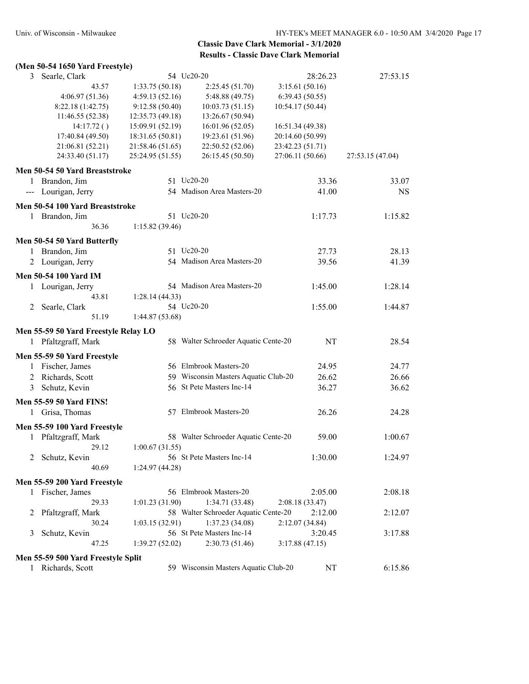### **(Men 50-54 1650 Yard Freestyle)**

| 3<br>Searle, Clark                   |                  | 54 Uc20-20                           | 28:26.23         | 27:53.15         |
|--------------------------------------|------------------|--------------------------------------|------------------|------------------|
| 43.57                                | 1:33.75 (50.18)  | 2:25.45(51.70)                       | 3:15.61(50.16)   |                  |
| 4:06.97(51.36)                       | 4:59.13(52.16)   | 5:48.88 (49.75)                      | 6:39.43(50.55)   |                  |
| 8:22.18 (1:42.75)                    | 9:12.58(50.40)   | 10:03.73(51.15)                      | 10:54.17 (50.44) |                  |
| 11:46.55 (52.38)                     | 12:35.73 (49.18) | 13:26.67 (50.94)                     |                  |                  |
| 14:17.72()                           | 15:09.91 (52.19) | 16:01.96 (52.05)                     | 16:51.34 (49.38) |                  |
| 17:40.84 (49.50)                     | 18:31.65 (50.81) | 19:23.61 (51.96)                     | 20:14.60 (50.99) |                  |
| 21:06.81 (52.21)                     | 21:58.46 (51.65) | 22:50.52 (52.06)                     | 23:42.23 (51.71) |                  |
| 24:33.40 (51.17)                     | 25:24.95 (51.55) | 26:15.45 (50.50)                     | 27:06.11 (50.66) | 27:53.15 (47.04) |
| Men 50-54 50 Yard Breaststroke       |                  |                                      |                  |                  |
| 1 Brandon, Jim                       |                  | 51 Uc20-20                           | 33.36            | 33.07            |
| --- Lourigan, Jerry                  |                  | 54 Madison Area Masters-20           | 41.00            | <b>NS</b>        |
| Men 50-54 100 Yard Breaststroke      |                  |                                      |                  |                  |
| 1 Brandon, Jim                       |                  | 51 Uc20-20                           | 1:17.73          | 1:15.82          |
| 36.36                                | 1:15.82(39.46)   |                                      |                  |                  |
|                                      |                  |                                      |                  |                  |
| Men 50-54 50 Yard Butterfly          |                  | 51 Uc20-20                           |                  | 28.13            |
| 1 Brandon, Jim                       |                  |                                      | 27.73            |                  |
| 2 Lourigan, Jerry                    |                  | 54 Madison Area Masters-20           | 39.56            | 41.39            |
| Men 50-54 100 Yard IM                |                  |                                      |                  |                  |
| 1 Lourigan, Jerry                    |                  | 54 Madison Area Masters-20           | 1:45.00          | 1:28.14          |
| 43.81                                | 1:28.14(44.33)   |                                      |                  |                  |
| 2 Searle, Clark                      |                  | 54 Uc20-20                           | 1:55.00          | 1:44.87          |
| 51.19                                | 1:44.87(53.68)   |                                      |                  |                  |
| Men 55-59 50 Yard Freestyle Relay LO |                  |                                      |                  |                  |
| 1 Pfaltzgraff, Mark                  |                  | 58 Walter Schroeder Aquatic Cente-20 | NT               | 28.54            |
| Men 55-59 50 Yard Freestyle          |                  |                                      |                  |                  |
| 1 Fischer, James                     |                  | 56 Elmbrook Masters-20               | 24.95            | 24.77            |
| 2 Richards, Scott                    |                  | 59 Wisconsin Masters Aquatic Club-20 | 26.62            | 26.66            |
| 3 Schutz, Kevin                      |                  | 56 St Pete Masters Inc-14            | 36.27            | 36.62            |
| <b>Men 55-59 50 Yard FINS!</b>       |                  |                                      |                  |                  |
| Grisa, Thomas<br>1                   |                  | 57 Elmbrook Masters-20               | 26.26            | 24.28            |
|                                      |                  |                                      |                  |                  |
| Men 55-59 100 Yard Freestyle         |                  |                                      |                  |                  |
| 1 Pfaltzgraff, Mark                  |                  | 58 Walter Schroeder Aquatic Cente-20 | 59.00            | 1:00.67          |
| 29.12                                | 1:00.67(31.55)   |                                      |                  |                  |
| 2 Schutz, Kevin                      |                  | 56 St Pete Masters Inc-14            | 1:30.00          | 1:24.97          |
| 40.69                                | 1:24.97(44.28)   |                                      |                  |                  |
| Men 55-59 200 Yard Freestyle         |                  |                                      |                  |                  |
| 1 Fischer, James                     |                  | 56 Elmbrook Masters-20               | 2:05.00          | 2:08.18          |
| 29.33                                | 1:01.23(31.90)   | 1:34.71 (33.48)                      | 2:08.18(33.47)   |                  |
| Pfaltzgraff, Mark<br>2               |                  | 58 Walter Schroeder Aquatic Cente-20 | 2:12.00          | 2:12.07          |
| 30.24                                | 1:03.15(32.91)   | 1:37.23(34.08)                       | 2:12.07(34.84)   |                  |
| Schutz, Kevin<br>3                   |                  | 56 St Pete Masters Inc-14            | 3:20.45          | 3:17.88          |
| 47.25                                | 1:39.27(52.02)   | 2:30.73(51.46)                       | 3:17.88(47.15)   |                  |
| Men 55-59 500 Yard Freestyle Split   |                  |                                      |                  |                  |
|                                      |                  |                                      |                  |                  |
| 1 Richards, Scott                    |                  | 59 Wisconsin Masters Aquatic Club-20 | NT               | 6:15.86          |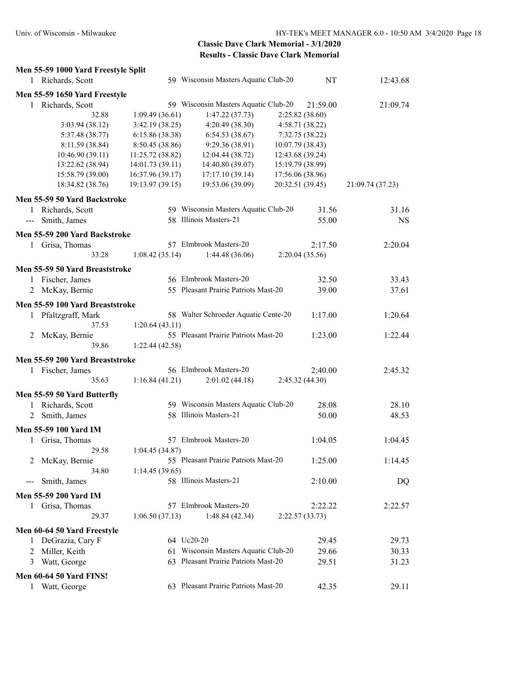# **Men 55-59 1000 Yard Freestyle Split**

| $m_{\rm H}$ so so tool target recognic spine<br>1 Richards, Scott                                                                                                                                                                                                                                                                                                                                            |                  | 59 Wisconsin Masters Aquatic Club-20 | NT               | 12:43.68         |
|--------------------------------------------------------------------------------------------------------------------------------------------------------------------------------------------------------------------------------------------------------------------------------------------------------------------------------------------------------------------------------------------------------------|------------------|--------------------------------------|------------------|------------------|
| Men 55-59 1650 Yard Freestyle                                                                                                                                                                                                                                                                                                                                                                                |                  |                                      |                  |                  |
| 1 Richards, Scott                                                                                                                                                                                                                                                                                                                                                                                            |                  | 59 Wisconsin Masters Aquatic Club-20 | 21:59.00         | 21:09.74         |
| 32.88                                                                                                                                                                                                                                                                                                                                                                                                        | 1:09.49(36.61)   | 1:47.22(37.73)                       | 2:25.82(38.60)   |                  |
| 3:03.94(38.12)                                                                                                                                                                                                                                                                                                                                                                                               | 3:42.19(38.25)   | 4:20.49 (38.30)                      | 4:58.71 (38.22)  |                  |
| 5:37.48 (38.77)                                                                                                                                                                                                                                                                                                                                                                                              | 6:15.86 (38.38)  | 6:54.53(38.67)                       | 7:32.75 (38.22)  |                  |
| 8:11.59 (38.84)                                                                                                                                                                                                                                                                                                                                                                                              | 8:50.45 (38.86)  | 9:29.36 (38.91)                      | 10:07.79 (38.43) |                  |
| 10:46.90 (39.11)                                                                                                                                                                                                                                                                                                                                                                                             | 11:25.72 (38.82) | 12:04.44 (38.72)                     | 12:43.68 (39.24) |                  |
| 13:22.62 (38.94)                                                                                                                                                                                                                                                                                                                                                                                             | 14:01.73 (39.11) | 14:40.80 (39.07)                     | 15:19.79 (38.99) |                  |
| 15:58.79 (39.00)                                                                                                                                                                                                                                                                                                                                                                                             | 16:37.96 (39.17) | 17:17.10 (39.14)                     | 17:56.06 (38.96) |                  |
|                                                                                                                                                                                                                                                                                                                                                                                                              |                  |                                      | 20:32.51 (39.45) |                  |
| 18:34.82 (38.76)                                                                                                                                                                                                                                                                                                                                                                                             | 19:13.97 (39.15) | 19:53.06 (39.09)                     |                  | 21:09.74 (37.23) |
| Men 55-59 50 Yard Backstroke                                                                                                                                                                                                                                                                                                                                                                                 |                  |                                      |                  |                  |
| 1 Richards, Scott                                                                                                                                                                                                                                                                                                                                                                                            |                  | 59 Wisconsin Masters Aquatic Club-20 | 31.56            | 31.16            |
| Smith, James<br>$\frac{1}{2} \frac{1}{2} \frac{1}{2} \frac{1}{2} \frac{1}{2} \frac{1}{2} \frac{1}{2} \frac{1}{2} \frac{1}{2} \frac{1}{2} \frac{1}{2} \frac{1}{2} \frac{1}{2} \frac{1}{2} \frac{1}{2} \frac{1}{2} \frac{1}{2} \frac{1}{2} \frac{1}{2} \frac{1}{2} \frac{1}{2} \frac{1}{2} \frac{1}{2} \frac{1}{2} \frac{1}{2} \frac{1}{2} \frac{1}{2} \frac{1}{2} \frac{1}{2} \frac{1}{2} \frac{1}{2} \frac{$ |                  | 58 Illinois Masters-21               | 55.00            | <b>NS</b>        |
| Men 55-59 200 Yard Backstroke                                                                                                                                                                                                                                                                                                                                                                                |                  |                                      |                  |                  |
| 1 Grisa, Thomas                                                                                                                                                                                                                                                                                                                                                                                              |                  | 57 Elmbrook Masters-20               | 2:17.50          | 2:20.04          |
| 33.28                                                                                                                                                                                                                                                                                                                                                                                                        | 1:08.42(35.14)   | 1:44.48(36.06)                       | 2:20.04(35.56)   |                  |
| Men 55-59 50 Yard Breaststroke                                                                                                                                                                                                                                                                                                                                                                               |                  |                                      |                  |                  |
| 1 Fischer, James                                                                                                                                                                                                                                                                                                                                                                                             |                  | 56 Elmbrook Masters-20               | 32.50            | 33.43            |
| McKay, Bernie<br>2                                                                                                                                                                                                                                                                                                                                                                                           |                  | 55 Pleasant Prairie Patriots Mast-20 | 39.00            | 37.61            |
| Men 55-59 100 Yard Breaststroke                                                                                                                                                                                                                                                                                                                                                                              |                  |                                      |                  |                  |
|                                                                                                                                                                                                                                                                                                                                                                                                              |                  |                                      |                  |                  |
| 1 Pfaltzgraff, Mark                                                                                                                                                                                                                                                                                                                                                                                          |                  | 58 Walter Schroeder Aquatic Cente-20 | 1:17.00          | 1:20.64          |
| 37.53                                                                                                                                                                                                                                                                                                                                                                                                        | 1:20.64(43.11)   |                                      |                  |                  |
| McKay, Bernie<br>2                                                                                                                                                                                                                                                                                                                                                                                           |                  | 55 Pleasant Prairie Patriots Mast-20 | 1:23.00          | 1:22.44          |
| 39.86                                                                                                                                                                                                                                                                                                                                                                                                        | 1:22.44(42.58)   |                                      |                  |                  |
| Men 55-59 200 Yard Breaststroke                                                                                                                                                                                                                                                                                                                                                                              |                  |                                      |                  |                  |
| 1 Fischer, James                                                                                                                                                                                                                                                                                                                                                                                             |                  | 56 Elmbrook Masters-20               | 2:40.00          | 2:45.32          |
| 35.63                                                                                                                                                                                                                                                                                                                                                                                                        | 1:16.84(41.21)   | 2:01.02(44.18)                       | 2:45.32 (44.30)  |                  |
| Men 55-59 50 Yard Butterfly                                                                                                                                                                                                                                                                                                                                                                                  |                  |                                      |                  |                  |
| 1 Richards, Scott                                                                                                                                                                                                                                                                                                                                                                                            |                  | 59 Wisconsin Masters Aquatic Club-20 | 28.08            | 28.10            |
|                                                                                                                                                                                                                                                                                                                                                                                                              |                  | 58 Illinois Masters-21               | 50.00            | 48.53            |
| Smith, James<br>2                                                                                                                                                                                                                                                                                                                                                                                            |                  |                                      |                  |                  |
| Men 55-59 100 Yard IM                                                                                                                                                                                                                                                                                                                                                                                        |                  |                                      |                  |                  |
| Grisa, Thomas<br>$1 \quad$                                                                                                                                                                                                                                                                                                                                                                                   |                  | 57 Elmbrook Masters-20               | 1:04.05          | 1:04.45          |
| 29.58                                                                                                                                                                                                                                                                                                                                                                                                        | 1:04.45(34.87)   |                                      |                  |                  |
| 2 McKay, Bernie                                                                                                                                                                                                                                                                                                                                                                                              |                  | 55 Pleasant Prairie Patriots Mast-20 | 1:25.00          | 1:14.45          |
| 34.80                                                                                                                                                                                                                                                                                                                                                                                                        | 1:14.45(39.65)   |                                      |                  |                  |
| Smith, James<br>$---$                                                                                                                                                                                                                                                                                                                                                                                        |                  | 58 Illinois Masters-21               | 2:10.00          | DQ               |
| Men 55-59 200 Yard IM                                                                                                                                                                                                                                                                                                                                                                                        |                  |                                      |                  |                  |
| 1 Grisa, Thomas                                                                                                                                                                                                                                                                                                                                                                                              |                  | 57 Elmbrook Masters-20               | 2:22.22          | 2:22.57          |
|                                                                                                                                                                                                                                                                                                                                                                                                              |                  |                                      |                  |                  |
| 29.37                                                                                                                                                                                                                                                                                                                                                                                                        | 1:06.50(37.13)   | 1:48.84(42.34)                       | 2:22.57(33.73)   |                  |
| Men 60-64 50 Yard Freestyle                                                                                                                                                                                                                                                                                                                                                                                  |                  |                                      |                  |                  |
| 1 DeGrazia, Cary F                                                                                                                                                                                                                                                                                                                                                                                           |                  | 64 Uc20-20                           | 29.45            | 29.73            |
| Miller, Keith<br>2                                                                                                                                                                                                                                                                                                                                                                                           |                  | 61 Wisconsin Masters Aquatic Club-20 | 29.66            | 30.33            |
| Watt, George<br>3                                                                                                                                                                                                                                                                                                                                                                                            |                  | 63 Pleasant Prairie Patriots Mast-20 | 29.51            | 31.23            |
| <b>Men 60-64 50 Yard FINS!</b>                                                                                                                                                                                                                                                                                                                                                                               |                  |                                      |                  |                  |
| Watt, George<br>1                                                                                                                                                                                                                                                                                                                                                                                            |                  | 63 Pleasant Prairie Patriots Mast-20 | 42.35            | 29.11            |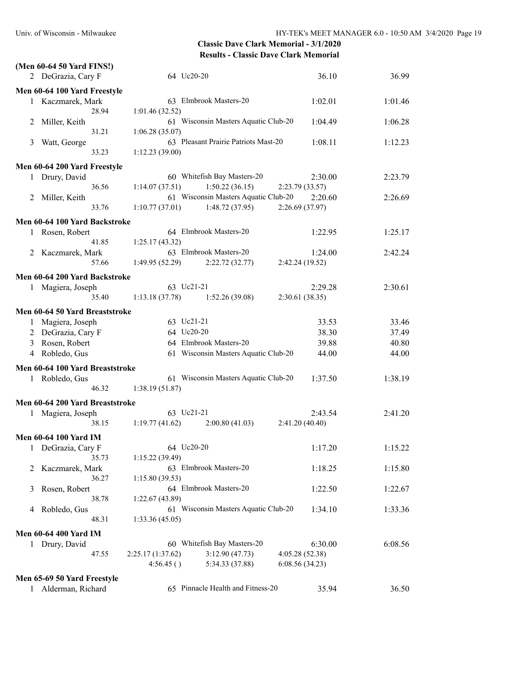|   | (Men 60-64 50 Yard FINS!)       |                  |                                      |                 |         |
|---|---------------------------------|------------------|--------------------------------------|-----------------|---------|
|   | 2 DeGrazia, Cary F              | 64 Uc20-20       |                                      | 36.10           | 36.99   |
|   | Men 60-64 100 Yard Freestyle    |                  |                                      |                 |         |
|   | 1 Kaczmarek, Mark               |                  | 63 Elmbrook Masters-20               | 1:02.01         | 1:01.46 |
|   | 28.94                           | 1:01.46(32.52)   |                                      |                 |         |
|   | 2 Miller, Keith                 |                  | 61 Wisconsin Masters Aquatic Club-20 | 1:04.49         | 1:06.28 |
|   | 31.21                           | 1:06.28(35.07)   |                                      |                 |         |
| 3 | Watt, George                    |                  | 63 Pleasant Prairie Patriots Mast-20 | 1:08.11         | 1:12.23 |
|   | 33.23                           | 1:12.23(39.00)   |                                      |                 |         |
|   | Men 60-64 200 Yard Freestyle    |                  |                                      |                 |         |
|   | 1 Drury, David                  |                  | 60 Whitefish Bay Masters-20          | 2:30.00         | 2:23.79 |
|   | 36.56                           | 1:14.07(37.51)   | 1:50.22(36.15)                       | 2:23.79(33.57)  |         |
|   | 2 Miller, Keith                 |                  | 61 Wisconsin Masters Aquatic Club-20 | 2:20.60         | 2:26.69 |
|   | 33.76                           | 1:10.77(37.01)   | 1:48.72(37.95)                       | 2:26.69(37.97)  |         |
|   |                                 |                  |                                      |                 |         |
|   | Men 60-64 100 Yard Backstroke   |                  | 64 Elmbrook Masters-20               |                 |         |
|   | 1 Rosen, Robert                 |                  |                                      | 1:22.95         | 1:25.17 |
|   | 41.85                           | 1:25.17 (43.32)  | 63 Elmbrook Masters-20               | 1:24.00         | 2:42.24 |
|   | 2 Kaczmarek, Mark<br>57.66      | 1:49.95(52.29)   | 2:22.72(32.77)                       | 2:42.24 (19.52) |         |
|   |                                 |                  |                                      |                 |         |
|   | Men 60-64 200 Yard Backstroke   |                  |                                      |                 |         |
|   | 1 Magiera, Joseph               | 63 Uc21-21       |                                      | 2:29.28         | 2:30.61 |
|   | 35.40                           | 1:13.18(37.78)   | 1:52.26(39.08)                       | 2:30.61(38.35)  |         |
|   | Men 60-64 50 Yard Breaststroke  |                  |                                      |                 |         |
|   | 1 Magiera, Joseph               | 63 Uc21-21       |                                      | 33.53           | 33.46   |
|   | 2 DeGrazia, Cary F              | 64 Uc20-20       |                                      | 38.30           | 37.49   |
|   | 3 Rosen, Robert                 |                  | 64 Elmbrook Masters-20               | 39.88           | 40.80   |
|   | 4 Robledo, Gus                  |                  | 61 Wisconsin Masters Aquatic Club-20 | 44.00           | 44.00   |
|   | Men 60-64 100 Yard Breaststroke |                  |                                      |                 |         |
|   |                                 |                  | 61 Wisconsin Masters Aquatic Club-20 |                 |         |
|   | 1 Robledo, Gus<br>46.32         |                  |                                      | 1:37.50         | 1:38.19 |
|   |                                 | 1:38.19(51.87)   |                                      |                 |         |
|   | Men 60-64 200 Yard Breaststroke |                  |                                      |                 |         |
|   | 1 Magiera, Joseph               | 63 Uc21-21       |                                      | 2:43.54         | 2:41.20 |
|   | 38.15                           | 1:19.77(41.62)   | 2:00.80(41.03)                       | 2:41.20(40.40)  |         |
|   | <b>Men 60-64 100 Yard IM</b>    |                  |                                      |                 |         |
|   | 1 DeGrazia, Cary F              | 64 Uc20-20       |                                      | 1:17.20         | 1:15.22 |
|   | 35.73                           | 1:15.22(39.49)   |                                      |                 |         |
| 2 | Kaczmarek, Mark                 |                  | 63 Elmbrook Masters-20               | 1:18.25         | 1:15.80 |
|   | 36.27                           | 1:15.80(39.53)   |                                      |                 |         |
| 3 | Rosen, Robert                   |                  | 64 Elmbrook Masters-20               | 1:22.50         | 1:22.67 |
|   | 38.78                           | 1:22.67(43.89)   |                                      |                 |         |
| 4 | Robledo, Gus                    |                  | 61 Wisconsin Masters Aquatic Club-20 | 1:34.10         | 1:33.36 |
|   | 48.31                           | 1:33.36(45.05)   |                                      |                 |         |
|   | <b>Men 60-64 400 Yard IM</b>    |                  |                                      |                 |         |
|   | 1 Drury, David                  |                  | 60 Whitefish Bay Masters-20          | 6:30.00         | 6:08.56 |
|   | 47.55                           | 2:25.17(1:37.62) | 3:12.90(47.73)                       | 4:05.28 (52.38) |         |
|   |                                 | 4:56.45()        | 5:34.33 (37.88)                      | 6:08.56(34.23)  |         |
|   |                                 |                  |                                      |                 |         |
|   | Men 65-69 50 Yard Freestyle     |                  |                                      |                 |         |
| 1 | Alderman, Richard               |                  | 65 Pinnacle Health and Fitness-20    | 35.94           | 36.50   |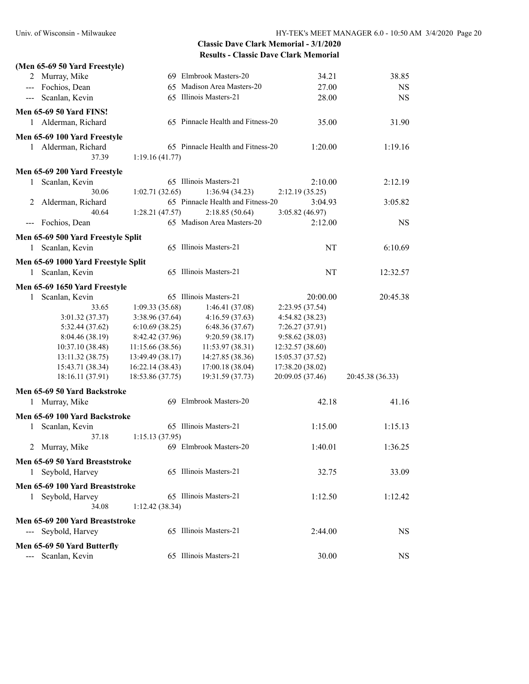| (Men 65-69 50 Yard Freestyle)       |                  |                                   |                  |                  |
|-------------------------------------|------------------|-----------------------------------|------------------|------------------|
| 2 Murray, Mike                      |                  | 69 Elmbrook Masters-20            | 34.21            | 38.85            |
| --- Fochios, Dean                   |                  | 65 Madison Area Masters-20        | 27.00            | <b>NS</b>        |
| --- Scanlan, Kevin                  |                  | 65 Illinois Masters-21            | 28.00            | <b>NS</b>        |
|                                     |                  |                                   |                  |                  |
| <b>Men 65-69 50 Yard FINS!</b>      |                  |                                   |                  |                  |
| Alderman, Richard<br>1              |                  | 65 Pinnacle Health and Fitness-20 | 35.00            | 31.90            |
| Men 65-69 100 Yard Freestyle        |                  |                                   |                  |                  |
| 1 Alderman, Richard                 |                  | 65 Pinnacle Health and Fitness-20 | 1:20.00          | 1:19.16          |
| 37.39                               | 1:19.16(41.77)   |                                   |                  |                  |
| Men 65-69 200 Yard Freestyle        |                  |                                   |                  |                  |
| Scanlan, Kevin<br>1.                |                  | 65 Illinois Masters-21            | 2:10.00          | 2:12.19          |
| 30.06                               | 1:02.71(32.65)   | 1:36.94(34.23)                    | 2:12.19(35.25)   |                  |
| Alderman, Richard<br>2              |                  | 65 Pinnacle Health and Fitness-20 | 3:04.93          | 3:05.82          |
| 40.64                               | 1:28.21(47.57)   | 2:18.85(50.64)                    | 3:05.82 (46.97)  |                  |
| --- Fochios, Dean                   |                  | 65 Madison Area Masters-20        | 2:12.00          | <b>NS</b>        |
|                                     |                  |                                   |                  |                  |
| Men 65-69 500 Yard Freestyle Split  |                  |                                   |                  |                  |
| Scanlan, Kevin<br>1                 |                  | 65 Illinois Masters-21            | NT               | 6:10.69          |
| Men 65-69 1000 Yard Freestyle Split |                  |                                   |                  |                  |
| 1 Scanlan, Kevin                    |                  | 65 Illinois Masters-21            | NT               | 12:32.57         |
| Men 65-69 1650 Yard Freestyle       |                  |                                   |                  |                  |
| Scanlan, Kevin<br>1                 |                  | 65 Illinois Masters-21            | 20:00.00         | 20:45.38         |
| 33.65                               | 1:09.33(35.68)   | 1:46.41(37.08)                    | 2:23.95 (37.54)  |                  |
| 3:01.32 (37.37)                     | 3:38.96 (37.64)  | 4:16.59(37.63)                    | 4:54.82 (38.23)  |                  |
| 5:32.44 (37.62)                     | 6:10.69(38.25)   | 6:48.36(37.67)                    | 7:26.27 (37.91)  |                  |
| 8:04.46 (38.19)                     | 8:42.42 (37.96)  | 9:20.59(38.17)                    | 9:58.62(38.03)   |                  |
| 10:37.10 (38.48)                    | 11:15.66(38.56)  | 11:53.97 (38.31)                  | 12:32.57 (38.60) |                  |
| 13:11.32 (38.75)                    | 13:49.49 (38.17) | 14:27.85 (38.36)                  | 15:05.37 (37.52) |                  |
| 15:43.71 (38.34)                    | 16:22.14 (38.43) | 17:00.18 (38.04)                  | 17:38.20 (38.02) |                  |
| 18:16.11 (37.91)                    | 18:53.86 (37.75) | 19:31.59 (37.73)                  | 20:09.05 (37.46) | 20:45.38 (36.33) |
|                                     |                  |                                   |                  |                  |
| Men 65-69 50 Yard Backstroke        |                  |                                   |                  |                  |
| Murray, Mike<br>1                   |                  | 69 Elmbrook Masters-20            | 42.18            | 41.16            |
| Men 65-69 100 Yard Backstroke       |                  |                                   |                  |                  |
| 1 Scanlan, Kevin                    |                  | 65 Illinois Masters-21            | 1:15.00          | 1:15.13          |
| 37.18                               | 1:15.13(37.95)   |                                   |                  |                  |
| 2 Murray, Mike                      |                  | 69 Elmbrook Masters-20            | 1:40.01          | 1:36.25          |
| Men 65-69 50 Yard Breaststroke      |                  |                                   |                  |                  |
| 1 Seybold, Harvey                   |                  | 65 Illinois Masters-21            | 32.75            | 33.09            |
| Men 65-69 100 Yard Breaststroke     |                  |                                   |                  |                  |
|                                     |                  | 65 Illinois Masters-21            |                  | 1:12.42          |
| 1 Seybold, Harvey                   |                  |                                   | 1:12.50          |                  |
| 34.08                               | 1:12.42(38.34)   |                                   |                  |                  |
| Men 65-69 200 Yard Breaststroke     |                  |                                   |                  |                  |
| --- Seybold, Harvey                 |                  | 65 Illinois Masters-21            | 2:44.00          | <b>NS</b>        |
| Men 65-69 50 Yard Butterfly         |                  |                                   |                  |                  |
| Scanlan, Kevin                      |                  | 65 Illinois Masters-21            | 30.00            | <b>NS</b>        |
|                                     |                  |                                   |                  |                  |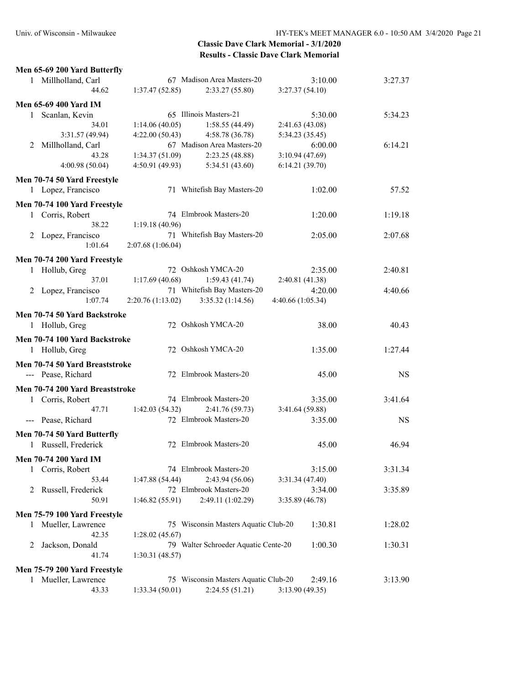| Men 65-69 200 Yard Butterfly    |                   |                                      |                   |         |           |
|---------------------------------|-------------------|--------------------------------------|-------------------|---------|-----------|
| 1 Millholland, Carl             |                   | 67 Madison Area Masters-20           |                   | 3:10.00 | 3:27.37   |
| 44.62                           | 1:37.47(52.85)    | 2:33.27(55.80)                       | 3:27.37(54.10)    |         |           |
| <b>Men 65-69 400 Yard IM</b>    |                   |                                      |                   |         |           |
| 1 Scanlan, Kevin                |                   | 65 Illinois Masters-21               |                   | 5:30.00 | 5:34.23   |
| 34.01                           | 1:14.06(40.05)    | 1:58.55(44.49)                       | 2:41.63(43.08)    |         |           |
| 3:31.57 (49.94)                 | 4:22.00(50.43)    | 4:58.78(36.78)                       | 5:34.23 (35.45)   |         |           |
| Millholland, Carl<br>2          |                   | 67 Madison Area Masters-20           |                   | 6:00.00 | 6:14.21   |
| 43.28                           | 1:34.37(51.09)    | 2:23.25 (48.88)                      | 3:10.94(47.69)    |         |           |
| 4:00.98(50.04)                  | 4:50.91(49.93)    | 5:34.51 (43.60)                      | 6:14.21(39.70)    |         |           |
| Men 70-74 50 Yard Freestyle     |                   |                                      |                   |         |           |
| 1 Lopez, Francisco              |                   | 71 Whitefish Bay Masters-20          |                   | 1:02.00 | 57.52     |
| Men 70-74 100 Yard Freestyle    |                   |                                      |                   |         |           |
| 1 Corris, Robert                |                   | 74 Elmbrook Masters-20               |                   | 1:20.00 | 1:19.18   |
| 38.22                           | 1:19.18(40.96)    |                                      |                   |         |           |
| 2 Lopez, Francisco              |                   | 71 Whitefish Bay Masters-20          |                   | 2:05.00 | 2:07.68   |
| 1:01.64                         | 2:07.68 (1:06.04) |                                      |                   |         |           |
| Men 70-74 200 Yard Freestyle    |                   |                                      |                   |         |           |
| 1 Hollub, Greg                  |                   | 72 Oshkosh YMCA-20                   |                   | 2:35.00 | 2:40.81   |
| 37.01                           | 1:17.69(40.68)    | 1:59.43(41.74)                       | 2:40.81 (41.38)   |         |           |
| 2 Lopez, Francisco              |                   | 71 Whitefish Bay Masters-20          |                   | 4:20.00 | 4:40.66   |
| 1:07.74                         | 2:20.76(1:13.02)  | 3:35.32 (1:14.56)                    | 4:40.66 (1:05.34) |         |           |
| Men 70-74 50 Yard Backstroke    |                   |                                      |                   |         |           |
| 1 Hollub, Greg                  |                   | 72 Oshkosh YMCA-20                   |                   | 38.00   | 40.43     |
| Men 70-74 100 Yard Backstroke   |                   |                                      |                   |         |           |
| 1 Hollub, Greg                  |                   | 72 Oshkosh YMCA-20                   |                   | 1:35.00 | 1:27.44   |
| Men 70-74 50 Yard Breaststroke  |                   |                                      |                   |         |           |
| --- Pease, Richard              |                   | 72 Elmbrook Masters-20               |                   | 45.00   | <b>NS</b> |
| Men 70-74 200 Yard Breaststroke |                   |                                      |                   |         |           |
| 1 Corris, Robert                |                   | 74 Elmbrook Masters-20               |                   | 3:35.00 | 3:41.64   |
| 47.71                           | 1:42.03(54.32)    | 2:41.76 (59.73)                      | 3:41.64 (59.88)   |         |           |
| --- Pease, Richard              |                   | 72 Elmbrook Masters-20               |                   | 3:35.00 | <b>NS</b> |
| Men 70-74 50 Yard Butterfly     |                   |                                      |                   |         |           |
| 1 Russell, Frederick            |                   | 72 Elmbrook Masters-20               |                   | 45.00   | 46.94     |
|                                 |                   |                                      |                   |         |           |
| Men 70-74 200 Yard IM           |                   |                                      |                   |         |           |
| 1 Corris, Robert                |                   | 74 Elmbrook Masters-20               |                   | 3:15.00 | 3:31.34   |
| 53.44                           | 1:47.88(54.44)    | 2:43.94(56.06)                       | 3:31.34(47.40)    |         |           |
| Russell, Frederick<br>2         |                   | 72 Elmbrook Masters-20               |                   | 3:34.00 | 3:35.89   |
| 50.91                           | 1:46.82 (55.91)   | 2:49.11 (1:02.29)                    | 3:35.89(46.78)    |         |           |
| Men 75-79 100 Yard Freestyle    |                   |                                      |                   |         |           |
| 1 Mueller, Lawrence             |                   | 75 Wisconsin Masters Aquatic Club-20 |                   | 1:30.81 | 1:28.02   |
| 42.35                           | 1:28.02(45.67)    |                                      |                   |         |           |
| Jackson, Donald<br>2            |                   | 79 Walter Schroeder Aquatic Cente-20 |                   | 1:00.30 | 1:30.31   |
| 41.74                           | 1:30.31(48.57)    |                                      |                   |         |           |
| Men 75-79 200 Yard Freestyle    |                   |                                      |                   |         |           |
| Mueller, Lawrence               |                   | 75 Wisconsin Masters Aquatic Club-20 |                   | 2:49.16 | 3:13.90   |

43.33 1:33.34 (50.01) 2:24.55 (51.21) 3:13.90 (49.35)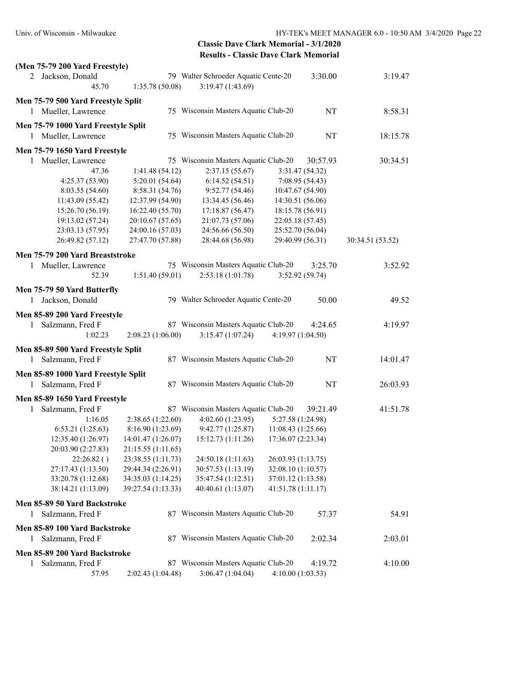| (Men 75-79 200 Yard Freestyle)<br>2 Jackson, Donald |                    | 79 Walter Schroeder Aquatic Cente-20 |                    | 3:30.00         | 3:19.47          |
|-----------------------------------------------------|--------------------|--------------------------------------|--------------------|-----------------|------------------|
| 45.70                                               | 1:35.78 (50.08)    | 3:19.47 (1:43.69)                    |                    |                 |                  |
|                                                     |                    |                                      |                    |                 |                  |
| Men 75-79 500 Yard Freestyle Split                  |                    |                                      |                    |                 |                  |
| Mueller, Lawrence<br>1                              |                    | 75 Wisconsin Masters Aquatic Club-20 |                    | NT              | 8:58.31          |
| Men 75-79 1000 Yard Freestyle Split                 |                    |                                      |                    |                 |                  |
| 1 Mueller, Lawrence                                 |                    | 75 Wisconsin Masters Aquatic Club-20 |                    | NT              | 18:15.78         |
| Men 75-79 1650 Yard Freestyle                       |                    |                                      |                    |                 |                  |
| Mueller, Lawrence<br>1                              |                    | 75 Wisconsin Masters Aquatic Club-20 |                    | 30:57.93        | 30:34.51         |
| 47.36                                               | 1:41.48(54.12)     | 2:37.15(55.67)                       |                    | 3:31.47 (54.32) |                  |
| 4:25.37(53.90)                                      | 5:20.01(54.64)     | 6:14.52(54.51)                       |                    | 7:08.95 (54.43) |                  |
| 8:03.55(54.60)                                      | 8:58.31 (54.76)    | 9:52.77(54.46)                       | 10:47.67 (54.90)   |                 |                  |
| 11:43.09 (55.42)                                    | 12:37.99 (54.90)   | 13:34.45 (56.46)                     | 14:30.51 (56.06)   |                 |                  |
| 15:26.70 (56.19)                                    | 16:22.40 (55.70)   | 17:18.87(56.47)                      | 18:15.78 (56.91)   |                 |                  |
| 19:13.02 (57.24)                                    | 20:10.67 (57.65)   | 21:07.73 (57.06)                     | 22:05.18 (57.45)   |                 |                  |
| 23:03.13 (57.95)                                    | 24:00.16 (57.03)   | 24:56.66 (56.50)                     | 25:52.70 (56.04)   |                 |                  |
| 26:49.82 (57.12)                                    | 27:47.70 (57.88)   | 28:44.68 (56.98)                     | 29:40.99 (56.31)   |                 | 30:34.51 (53.52) |
| Men 75-79 200 Yard Breaststroke                     |                    |                                      |                    |                 |                  |
| Mueller, Lawrence<br>1                              |                    | 75 Wisconsin Masters Aquatic Club-20 |                    | 3:25.70         | 3:52.92          |
| 52.39                                               | 1:51.40(59.01)     | 2:53.18(1:01.78)                     |                    | 3:52.92(59.74)  |                  |
|                                                     |                    |                                      |                    |                 |                  |
| Men 75-79 50 Yard Butterfly                         |                    |                                      |                    |                 |                  |
| 1 Jackson, Donald                                   |                    | 79 Walter Schroeder Aquatic Cente-20 |                    | 50.00           | 49.52            |
| Men 85-89 200 Yard Freestyle                        |                    |                                      |                    |                 |                  |
| Salzmann, Fred F<br>1                               |                    | 87 Wisconsin Masters Aquatic Club-20 |                    | 4:24.65         | 4:19.97          |
| 1:02.23                                             | 2:08.23(1:06.00)   | 3:15.47(1:07.24)                     | 4:19.97(1:04.50)   |                 |                  |
| Men 85-89 500 Yard Freestyle Split                  |                    |                                      |                    |                 |                  |
| Salzmann, Fred F<br>1                               |                    | 87 Wisconsin Masters Aquatic Club-20 |                    | NT              | 14:01.47         |
|                                                     |                    |                                      |                    |                 |                  |
| Men 85-89 1000 Yard Freestyle Split                 |                    |                                      |                    |                 |                  |
| Salzmann, Fred F<br>1                               |                    | 87 Wisconsin Masters Aquatic Club-20 |                    | NT              | 26:03.93         |
| Men 85-89 1650 Yard Freestyle                       |                    |                                      |                    |                 |                  |
| Salzmann, Fred F<br>1                               |                    | 87 Wisconsin Masters Aquatic Club-20 |                    | 39:21.49        | 41:51.78         |
| 1:16.05                                             | 2:38.65 (1:22.60)  | 4:02.60(1:23.95)                     | 5:27.58 (1:24.98)  |                 |                  |
| 6:53.21(1:25.63)                                    | 8:16.90 (1:23.69)  | 9:42.77 (1:25.87)                    | 11:08.43 (1:25.66) |                 |                  |
| 12:35.40 (1:26.97)                                  | 14:01.47 (1:26.07) | 15:12.73 (1:11.26)                   | 17:36.07 (2:23.34) |                 |                  |
| 20:03.90 (2:27.83)                                  | 21:15.55 (1:11.65) |                                      |                    |                 |                  |
| 22:26.82()                                          | 23:38.55 (1:11.73) | 24:50.18 (1:11.63)                   | 26:03.93 (1:13.75) |                 |                  |
| 27:17.43 (1:13.50)                                  | 29:44.34 (2:26.91) | 30:57.53 (1:13.19)                   | 32:08.10 (1:10.57) |                 |                  |
| 33:20.78 (1:12.68)                                  | 34:35.03 (1:14.25) | 35:47.54 (1:12.51)                   | 37:01.12 (1:13.58) |                 |                  |
| 38:14.21 (1:13.09)                                  | 39:27.54 (1:13.33) | 40:40.61 (1:13.07)                   | 41:51.78 (1:11.17) |                 |                  |
| Men 85-89 50 Yard Backstroke                        |                    |                                      |                    |                 |                  |
| Salzmann, Fred F<br>1                               |                    | 87 Wisconsin Masters Aquatic Club-20 |                    | 57.37           | 54.91            |
|                                                     |                    |                                      |                    |                 |                  |
| Men 85-89 100 Yard Backstroke                       |                    |                                      |                    |                 |                  |
| Salzmann, Fred F<br>1                               |                    | 87 Wisconsin Masters Aquatic Club-20 |                    | 2:02.34         | 2:03.01          |
| Men 85-89 200 Yard Backstroke                       |                    |                                      |                    |                 |                  |
| Salzmann, Fred F<br>1                               |                    | 87 Wisconsin Masters Aquatic Club-20 |                    | 4:19.72         | 4:10.00          |
| 57.95                                               | 2:02.43 (1:04.48)  | 3:06.47 (1:04.04)                    | 4:10.00(1:03.53)   |                 |                  |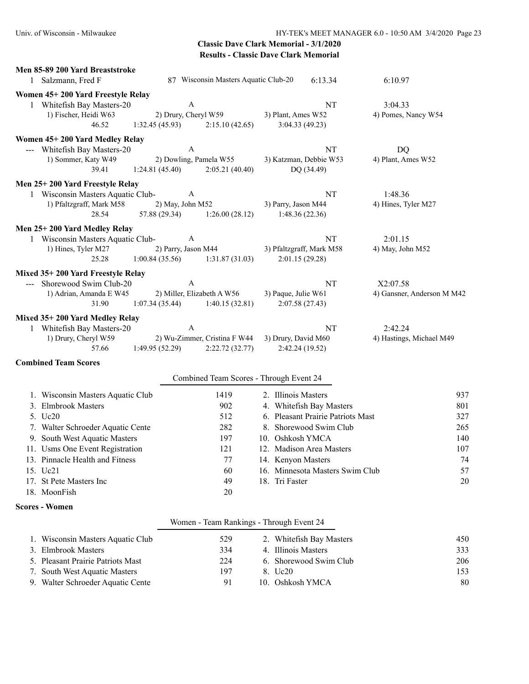| Men 85-89 200 Yard Breaststroke<br>1 Salzmann, Fred F |                        | 87 Wisconsin Masters Aquatic Club-20    | 6:13.34                           | 6:10.97                    |
|-------------------------------------------------------|------------------------|-----------------------------------------|-----------------------------------|----------------------------|
| Women 45+200 Yard Freestyle Relay                     |                        |                                         |                                   |                            |
| 1 Whitefish Bay Masters-20                            | $\boldsymbol{\rm{A}}$  |                                         | <b>NT</b>                         | 3:04.33                    |
| 1) Fischer, Heidi W63                                 | 2) Drury, Cheryl W59   |                                         | 3) Plant, Ames W52                | 4) Pomes, Nancy W54        |
| 46.52                                                 | 1:32.45(45.93)         | 2:15.10(42.65)                          | 3:04.33(49.23)                    |                            |
| Women 45+200 Yard Medley Relay                        |                        |                                         |                                   |                            |
| --- Whitefish Bay Masters-20                          | A                      |                                         | NT                                | <b>DQ</b>                  |
| 1) Sommer, Katy W49                                   | 2) Dowling, Pamela W55 |                                         | 3) Katzman, Debbie W53            | 4) Plant, Ames W52         |
| 39.41                                                 | 1:24.81(45.40)         | 2:05.21(40.40)                          | DQ (34.49)                        |                            |
| Men 25+200 Yard Freestyle Relay                       |                        |                                         |                                   |                            |
| 1 Wisconsin Masters Aquatic Club-                     | A                      |                                         | NT                                | 1:48.36                    |
| 1) Pfaltzgraff, Mark M58                              | 2) May, John M52       |                                         | 3) Parry, Jason M44               | 4) Hines, Tyler M27        |
| 28.54                                                 | 57.88 (29.34)          | 1:26.00(28.12)                          | 1:48.36(22.36)                    |                            |
| Men 25+200 Yard Medley Relay                          |                        |                                         |                                   |                            |
| 1 Wisconsin Masters Aquatic Club-                     | A                      |                                         | NT                                | 2:01.15                    |
| 1) Hines, Tyler M27                                   | 2) Parry, Jason M44    |                                         | 3) Pfaltzgraff, Mark M58          | 4) May, John M52           |
| 25.28                                                 | 1:00.84(35.56)         | 1:31.87(31.03)                          | 2:01.15(29.28)                    |                            |
| Mixed 35+200 Yard Freestyle Relay                     |                        |                                         |                                   |                            |
| --- Shorewood Swim Club-20                            | A                      |                                         | NT                                | X2:07.58                   |
| 1) Adrian, Amanda E W45                               |                        | 2) Miller, Elizabeth A W56              | 3) Paque, Julie W61               | 4) Gansner, Anderson M M42 |
| 31.90                                                 | 1:07.34(35.44)         | 1:40.15(32.81)                          | 2:07.58(27.43)                    |                            |
| Mixed 35+200 Yard Medley Relay                        |                        |                                         |                                   |                            |
| 1 Whitefish Bay Masters-20                            | A                      |                                         | NT                                | 2:42.24                    |
| 1) Drury, Cheryl W59                                  |                        | 2) Wu-Zimmer, Cristina F W44            | 3) Drury, David M60               | 4) Hastings, Michael M49   |
| 57.66                                                 | 1:49.95(52.29)         | 2:22.72(32.77)                          | 2:42.24 (19.52)                   |                            |
| <b>Combined Team Scores</b>                           |                        |                                         |                                   |                            |
|                                                       |                        | Combined Team Scores - Through Event 24 |                                   |                            |
| 1. Wisconsin Masters Aquatic Club                     |                        | 1419                                    | 2. Illinois Masters               | 937                        |
| 3. Elmbrook Masters                                   |                        | 902                                     | 4. Whitefish Bay Masters          | 801                        |
| 5. U <sub>c</sub> 20                                  |                        | 512                                     | 6. Pleasant Prairie Patriots Mast | 327                        |
| 7. Walter Schroeder Aquatic Cente                     |                        | 282                                     | 8. Shorewood Swim Club            | 265                        |
| 9. South West Aquatic Masters                         |                        | 197                                     | 10. Oshkosh YMCA                  | 140                        |
| 11. Usms One Event Registration                       |                        | 121                                     | 12. Madison Area Masters          | 107                        |
| 13. Pinnacle Health and Fitness                       |                        | 77                                      | 14. Kenyon Masters                | 74                         |
| 15. Uc21                                              |                        | 60                                      | 16. Minnesota Masters Swim Club   | 57                         |
| 17. St Pete Masters Inc                               |                        | 49                                      | 18. Tri Faster                    | 20                         |
| 18. MoonFish                                          |                        | 20                                      |                                   |                            |

#### **Scores - Women**

### Women - Team Rankings - Through Event 24

| 1. Wisconsin Masters Aquatic Club | 529 | 2. Whitefish Bay Masters | 450 |
|-----------------------------------|-----|--------------------------|-----|
| 3. Elmbrook Masters               | 334 | 4. Illinois Masters      | 333 |
| 5. Pleasant Prairie Patriots Mast | 224 | 6. Shorewood Swim Club   | 206 |
| 7. South West Aquatic Masters     | 197 | 8. Uc20                  | 153 |
| 9. Walter Schroeder Aquatic Cente | 91  | 10. Oshkosh YMCA         | 80  |